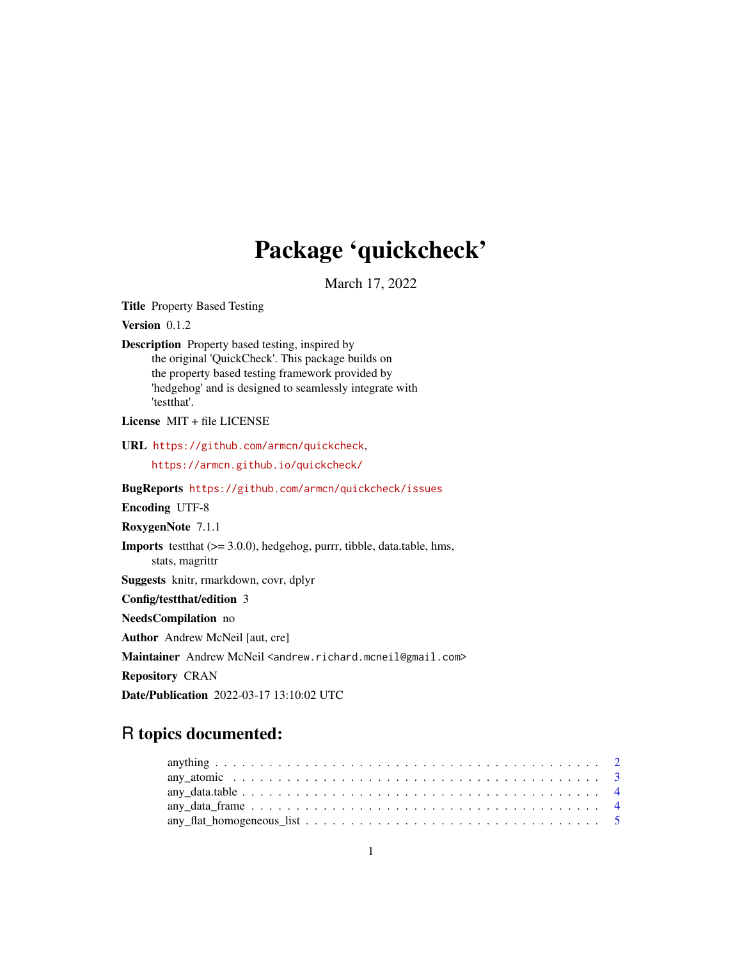# Package 'quickcheck'

March 17, 2022

Title Property Based Testing

Version 0.1.2

Description Property based testing, inspired by the original 'QuickCheck'. This package builds on the property based testing framework provided by 'hedgehog' and is designed to seamlessly integrate with 'testthat'.

License MIT + file LICENSE

URL <https://github.com/armcn/quickcheck>,

<https://armcn.github.io/quickcheck/>

BugReports <https://github.com/armcn/quickcheck/issues>

Encoding UTF-8

RoxygenNote 7.1.1

Imports testthat (>= 3.0.0), hedgehog, purrr, tibble, data.table, hms,

stats, magrittr

Suggests knitr, rmarkdown, covr, dplyr

Config/testthat/edition 3

NeedsCompilation no

Author Andrew McNeil [aut, cre]

Maintainer Andrew McNeil <andrew.richard.mcneil@gmail.com>

Repository CRAN

Date/Publication 2022-03-17 13:10:02 UTC

# R topics documented: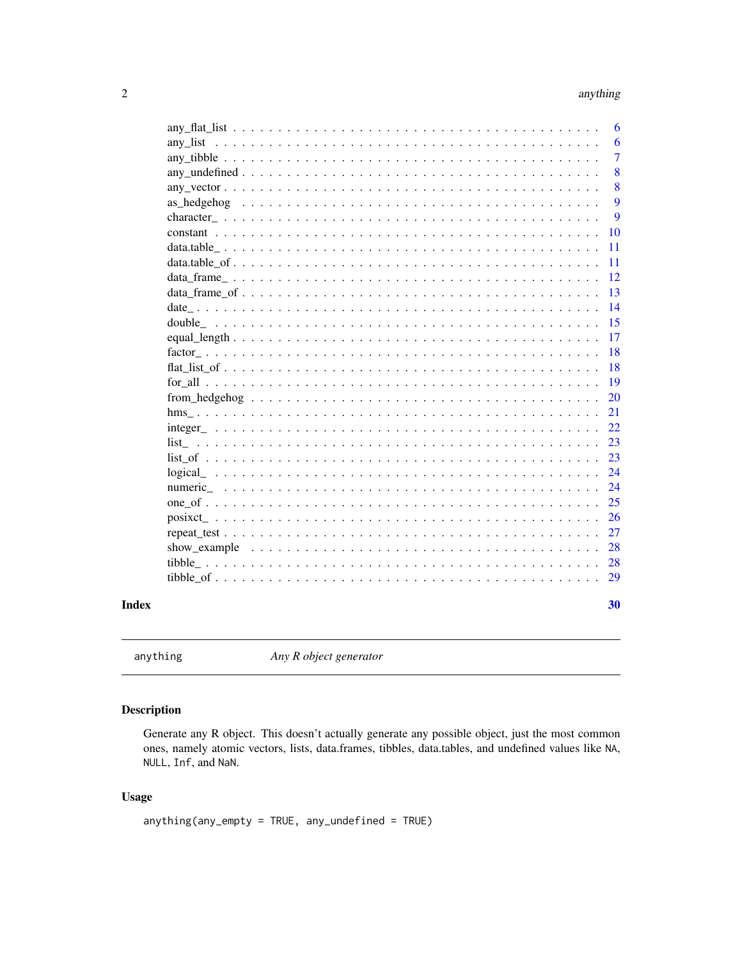# anything

<span id="page-1-0"></span>

|                                                                                                                       | 6              |
|-----------------------------------------------------------------------------------------------------------------------|----------------|
|                                                                                                                       | 6              |
|                                                                                                                       | $\overline{7}$ |
|                                                                                                                       | 8              |
|                                                                                                                       | 8              |
|                                                                                                                       | 9              |
|                                                                                                                       | 9              |
|                                                                                                                       | 10             |
|                                                                                                                       | 11             |
|                                                                                                                       | 11             |
|                                                                                                                       | 12             |
|                                                                                                                       | 13             |
|                                                                                                                       | 14             |
|                                                                                                                       | 15             |
|                                                                                                                       | 17             |
|                                                                                                                       | 18             |
|                                                                                                                       | 18             |
|                                                                                                                       | 19             |
|                                                                                                                       | 20             |
|                                                                                                                       | 21             |
| $integer \dots \dots \dots \dots \dots \dots \dots \dots \dots \dots \dots \dots \dots \dots \dots \dots \dots \dots$ | 22             |
|                                                                                                                       | 23             |
|                                                                                                                       | 23             |
|                                                                                                                       | 24             |
|                                                                                                                       | 24             |
|                                                                                                                       | 25             |
|                                                                                                                       | 26             |
|                                                                                                                       | 27             |
| show example $\ldots \ldots \ldots \ldots \ldots \ldots \ldots \ldots \ldots \ldots \ldots \ldots \ldots$             | 28             |
|                                                                                                                       | 28             |
|                                                                                                                       | 29             |
|                                                                                                                       |                |
|                                                                                                                       | 30             |

# **Index**

```
anything
```
Any R object generator

# Description

Generate any R object. This doesn't actually generate any possible object, just the most common ones, namely atomic vectors, lists, data.frames, tibbles, data.tables, and undefined values like NA, NULL, Inf, and NaN.

# **Usage**

```
anything(any-empty = TRUE, any\_undefined = TRUE)
```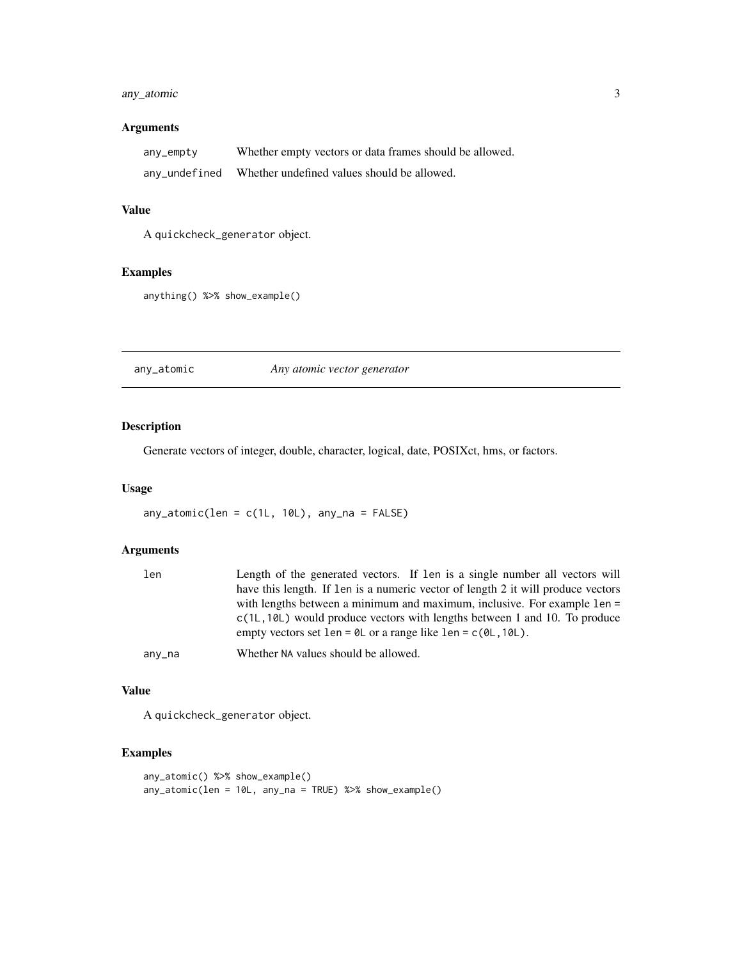# <span id="page-2-0"></span>any\_atomic 3

# Arguments

| any_empty     | Whether empty vectors or data frames should be allowed. |
|---------------|---------------------------------------------------------|
| any_undefined | Whether undefined values should be allowed.             |

#### Value

A quickcheck\_generator object.

# Examples

anything() %>% show\_example()

any\_atomic *Any atomic vector generator*

# Description

Generate vectors of integer, double, character, logical, date, POSIXct, hms, or factors.

#### Usage

any\_atomic(len = c(1L, 10L), any\_na = FALSE)

#### Arguments

| len    | Length of the generated vectors. If len is a single number all vectors will         |
|--------|-------------------------------------------------------------------------------------|
|        | have this length. If len is a numeric vector of length 2 it will produce vectors    |
|        | with lengths between a minimum and maximum, inclusive. For example 1en =            |
|        | $c(1L, 10L)$ would produce vectors with lengths between 1 and 10. To produce        |
|        | empty vectors set len = $\theta$ L or a range like len = $c(\theta L, 1\theta L)$ . |
| any_na | Whether NA values should be allowed.                                                |

#### Value

A quickcheck\_generator object.

```
any_atomic() %>% show_example()
any_atomic(len = 10L, any_na = TRUE) %>% show_example()
```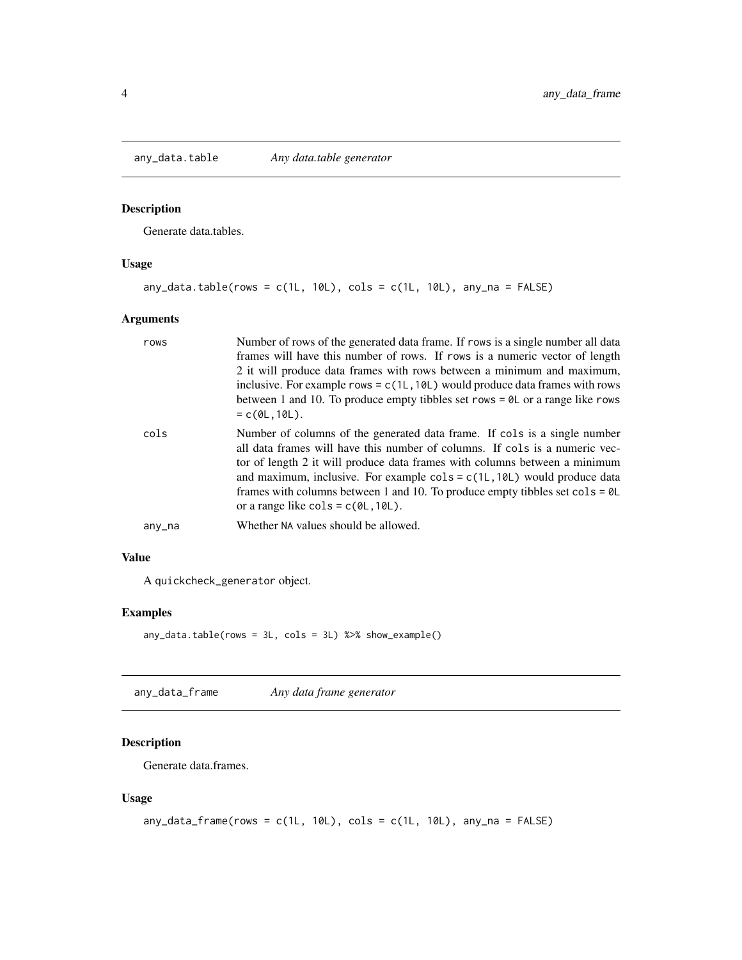<span id="page-3-0"></span>

Generate data.tables.

# Usage

```
any_data.table(rows = c(1L, 10L), cols = c(1L, 10L), any_na = FALSE)
```
# Arguments

| rows   | Number of rows of the generated data frame. If rows is a single number all data<br>frames will have this number of rows. If rows is a numeric vector of length<br>2 it will produce data frames with rows between a minimum and maximum,<br>inclusive. For example rows = $c(1L, 10L)$ would produce data frames with rows<br>between 1 and 10. To produce empty tibbles set rows = $\theta$ L or a range like rows<br>$= c(0L, 10L)$ .                                                                                                           |
|--------|---------------------------------------------------------------------------------------------------------------------------------------------------------------------------------------------------------------------------------------------------------------------------------------------------------------------------------------------------------------------------------------------------------------------------------------------------------------------------------------------------------------------------------------------------|
| cols   | Number of columns of the generated data frame. If cols is a single number<br>all data frames will have this number of columns. If cols is a numeric vec-<br>tor of length 2 it will produce data frames with columns between a minimum<br>and maximum, inclusive. For example $\text{cols} = \text{c}(1\text{L}, 10\text{L})$ would produce data<br>frames with columns between 1 and 10. To produce empty tibbles set $\text{cols} = \emptyset \mathsf{L}$<br>or a range like $\text{cols} = \text{c}(\emptyset \text{L}, 1\emptyset \text{L}).$ |
| any_na | Whether NA values should be allowed.                                                                                                                                                                                                                                                                                                                                                                                                                                                                                                              |

#### Value

A quickcheck\_generator object.

# Examples

```
any_data.table(rows = 3L, cols = 3L) %>% show_example()
```
any\_data\_frame *Any data frame generator*

# Description

Generate data.frames.

# Usage

```
any\_data\_frame(rows = c(1L, 10L), cols = c(1L, 10L), any\_na = FALSE)
```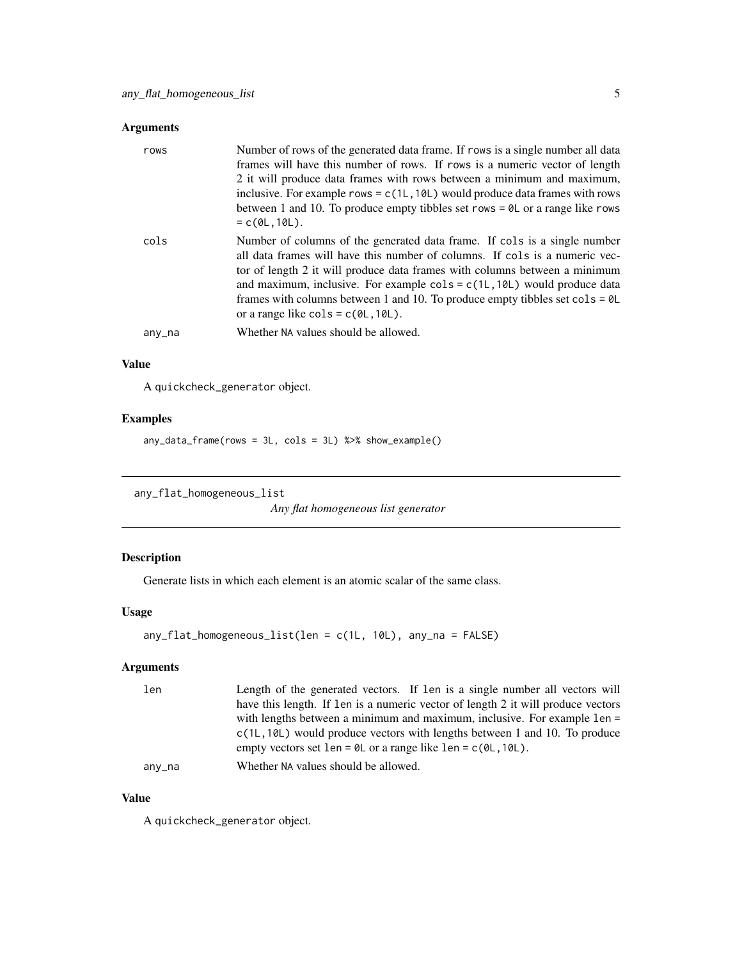# <span id="page-4-0"></span>Arguments

| rows   | Number of rows of the generated data frame. If rows is a single number all data<br>frames will have this number of rows. If rows is a numeric vector of length<br>2 it will produce data frames with rows between a minimum and maximum,<br>inclusive. For example rows = $c(1L, 10L)$ would produce data frames with rows<br>between 1 and 10. To produce empty tibbles set rows = $\theta$ L or a range like rows<br>$= c(0L, 10L).$                                                        |
|--------|-----------------------------------------------------------------------------------------------------------------------------------------------------------------------------------------------------------------------------------------------------------------------------------------------------------------------------------------------------------------------------------------------------------------------------------------------------------------------------------------------|
| cols   | Number of columns of the generated data frame. If cols is a single number<br>all data frames will have this number of columns. If cols is a numeric vec-<br>tor of length 2 it will produce data frames with columns between a minimum<br>and maximum, inclusive. For example $\text{cols} = c(1L, 10L)$ would produce data<br>frames with columns between 1 and 10. To produce empty tibbles set $\text{cols} = \text{OL}$<br>or a range like $\text{cols} = c(\emptyset L, 1\emptyset L)$ . |
| any_na | Whether NA values should be allowed.                                                                                                                                                                                                                                                                                                                                                                                                                                                          |

#### Value

A quickcheck\_generator object.

# Examples

any\_data\_frame(rows = 3L, cols = 3L) %>% show\_example()

```
any_flat_homogeneous_list
```
*Any flat homogeneous list generator*

# Description

Generate lists in which each element is an atomic scalar of the same class.

# Usage

```
any_flat_homogeneous_list(len = c(1L, 10L), any_na = FALSE)
```
# Arguments

| len    | Length of the generated vectors. If len is a single number all vectors will         |
|--------|-------------------------------------------------------------------------------------|
|        | have this length. If len is a numeric vector of length 2 it will produce vectors    |
|        | with lengths between a minimum and maximum, inclusive. For example 1en =            |
|        | $c(1L, 10L)$ would produce vectors with lengths between 1 and 10. To produce        |
|        | empty vectors set len = $\theta$ L or a range like len = $c(\theta L, 1\theta L)$ . |
| any_na | Whether NA values should be allowed.                                                |

#### Value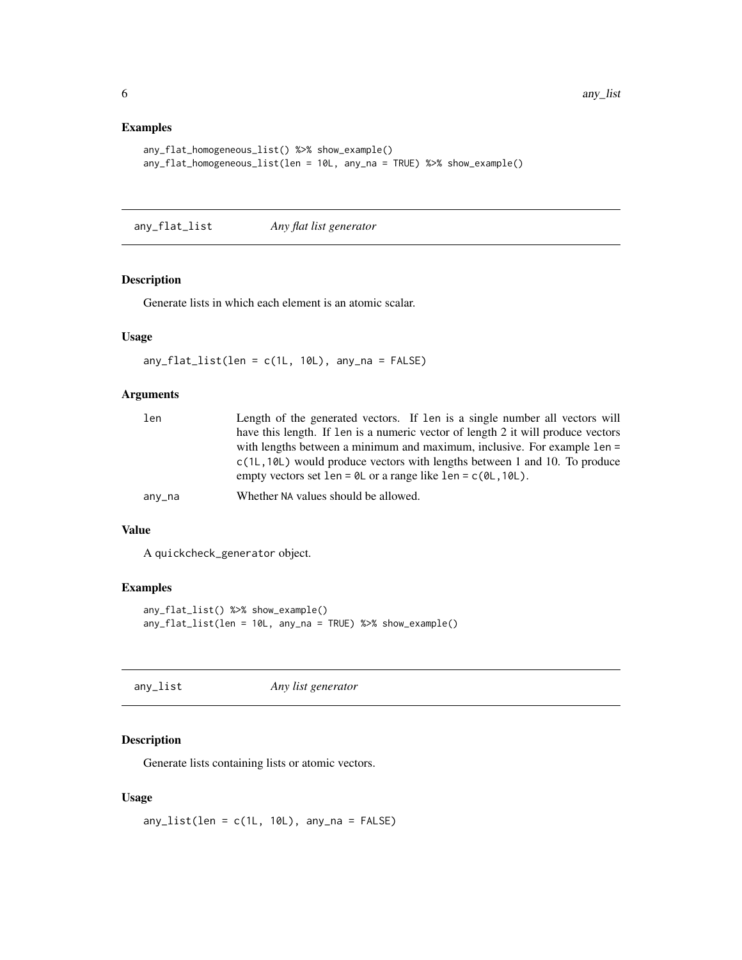# <span id="page-5-0"></span>Examples

```
any_flat_homogeneous_list() %>% show_example()
any_flat_homogeneous_list(len = 10L, any_na = TRUE) %>% show_example()
```
any\_flat\_list *Any flat list generator*

# Description

Generate lists in which each element is an atomic scalar.

# Usage

 $any_flat_list(len = c(1L, 10L), any_na = FALSE)$ 

# Arguments

| len    | Length of the generated vectors. If len is a single number all vectors will         |
|--------|-------------------------------------------------------------------------------------|
|        | have this length. If len is a numeric vector of length 2 it will produce vectors    |
|        | with lengths between a minimum and maximum, inclusive. For example 1en =            |
|        | $c(1L, 10L)$ would produce vectors with lengths between 1 and 10. To produce        |
|        | empty vectors set len = $\theta$ L or a range like len = $c(\theta L, 1\theta L)$ . |
| any_na | Whether NA values should be allowed.                                                |
|        |                                                                                     |

# Value

A quickcheck\_generator object.

#### Examples

```
any_flat_list() %>% show_example()
any_flat_list(len = 10L, any_na = TRUE) %>% show_example()
```
any\_list *Any list generator*

# Description

Generate lists containing lists or atomic vectors.

#### Usage

 $any\_list(len = c(1L, 10L), any_na = FALSE)$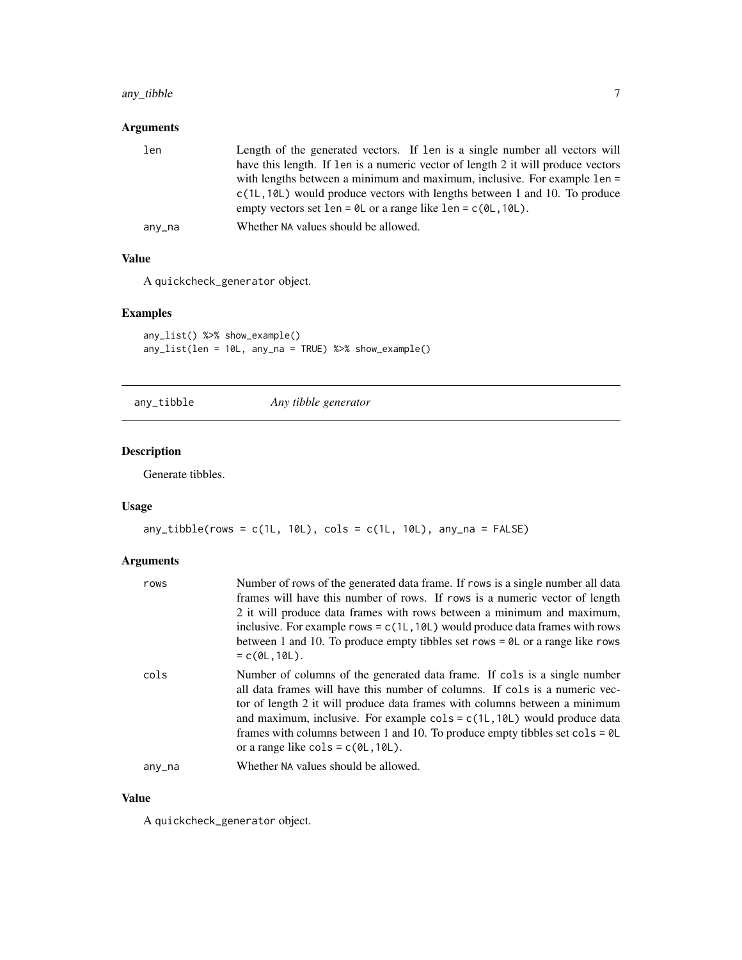# <span id="page-6-0"></span>any\_tibble 7

# Arguments

| len    | Length of the generated vectors. If len is a single number all vectors will         |
|--------|-------------------------------------------------------------------------------------|
|        | have this length. If len is a numeric vector of length 2 it will produce vectors    |
|        | with lengths between a minimum and maximum, inclusive. For example 1en =            |
|        | $c(1L, 10L)$ would produce vectors with lengths between 1 and 10. To produce        |
|        | empty vectors set len = $\theta$ L or a range like len = $c(\theta L, 1\theta L)$ . |
| any_na | Whether NA values should be allowed.                                                |

#### Value

A quickcheck\_generator object.

# Examples

```
any_list() %>% show_example()
any_list(len = 10L, any_na = TRUE) %>% show_example()
```

```
any_tibble Any tibble generator
```
# Description

Generate tibbles.

# Usage

```
any\_tibble(rows = c(1L, 10L), cols = c(1L, 10L), any_na = FALSE)
```
# Arguments

| rows   | Number of rows of the generated data frame. If rows is a single number all data<br>frames will have this number of rows. If rows is a numeric vector of length<br>2 it will produce data frames with rows between a minimum and maximum,<br>inclusive. For example rows = $c(1L, 10L)$ would produce data frames with rows<br>between 1 and 10. To produce empty tibbles set rows = $\theta$ L or a range like rows                                                                                              |
|--------|------------------------------------------------------------------------------------------------------------------------------------------------------------------------------------------------------------------------------------------------------------------------------------------------------------------------------------------------------------------------------------------------------------------------------------------------------------------------------------------------------------------|
| cols   | $= c(0L, 10L).$<br>Number of columns of the generated data frame. If cols is a single number<br>all data frames will have this number of columns. If cols is a numeric vec-<br>tor of length 2 it will produce data frames with columns between a minimum<br>and maximum, inclusive. For example $\text{cols} = c(1L, 10L)$ would produce data<br>frames with columns between 1 and 10. To produce empty tibbles set $\text{cols} = \text{OL}$<br>or a range like $\text{cols} = c(\emptyset L, 1\emptyset L)$ . |
| any_na | Whether NA values should be allowed.                                                                                                                                                                                                                                                                                                                                                                                                                                                                             |

#### Value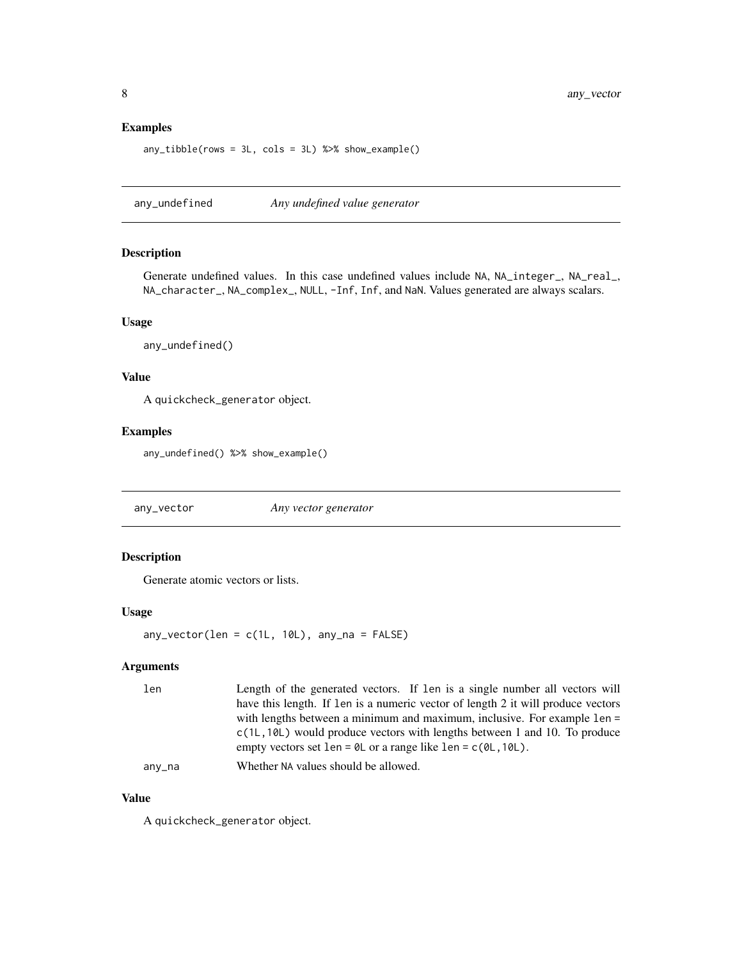#### <span id="page-7-0"></span>Examples

```
any_tibble(rows = 3L, cols = 3L) %>% show_example()
```
any\_undefined *Any undefined value generator*

# Description

Generate undefined values. In this case undefined values include NA, NA\_integer\_, NA\_real\_, NA\_character\_, NA\_complex\_, NULL, -Inf, Inf, and NaN. Values generated are always scalars.

#### Usage

any\_undefined()

#### Value

A quickcheck\_generator object.

#### Examples

any\_undefined() %>% show\_example()

any\_vector *Any vector generator*

#### Description

Generate atomic vectors or lists.

#### Usage

any\_vector(len =  $c(1L, 10L)$ , any\_na = FALSE)

# Arguments

| len    | Length of the generated vectors. If len is a single number all vectors will         |
|--------|-------------------------------------------------------------------------------------|
|        | have this length. If len is a numeric vector of length 2 it will produce vectors    |
|        | with lengths between a minimum and maximum, inclusive. For example 1en =            |
|        | $c(1L, 10L)$ would produce vectors with lengths between 1 and 10. To produce        |
|        | empty vectors set len = $\theta$ L or a range like len = $c(\theta L, 1\theta L)$ . |
| any_na | Whether NA values should be allowed.                                                |

#### Value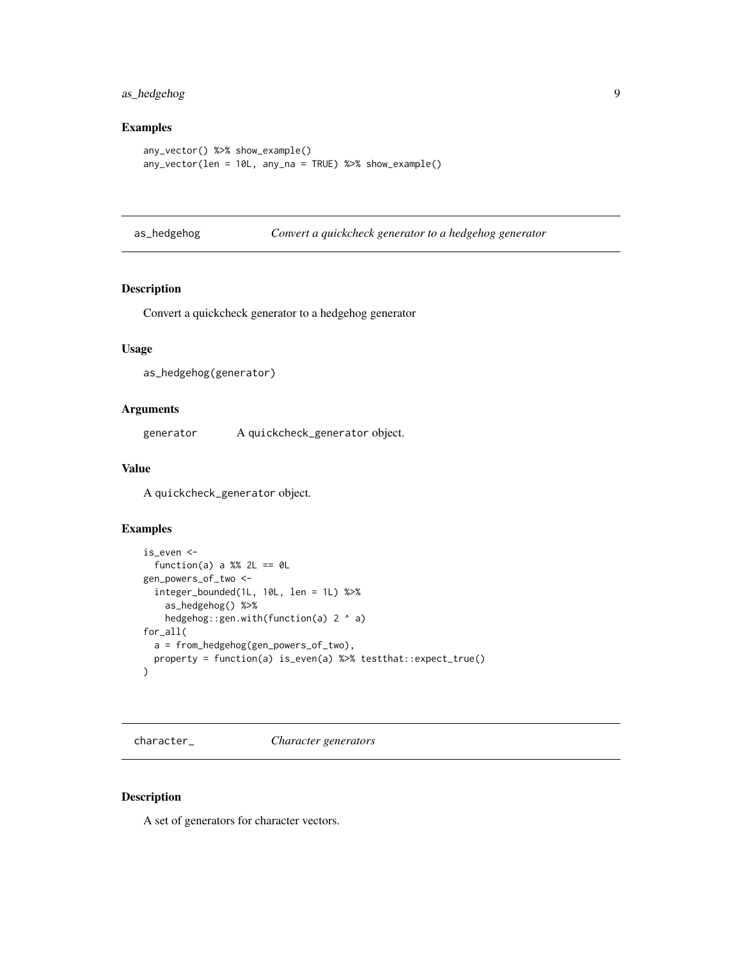# <span id="page-8-0"></span>as\_hedgehog 9

# Examples

```
any_vector() %>% show_example()
any_vector(len = 10L, any_na = TRUE) %>% show_example()
```

| as_hedgehog |
|-------------|
|-------------|

gehog *Convert a quickcheck generator to a hedgehog generator* 

# Description

Convert a quickcheck generator to a hedgehog generator

#### Usage

```
as_hedgehog(generator)
```
#### Arguments

generator A quickcheck\_generator object.

# Value

A quickcheck\_generator object.

#### Examples

```
is_even <-
  function(a) a %% 2L == \thetaL
gen_powers_of_two <-
  integer_bounded(1L, 10L, len = 1L) %>%
    as_hedgehog() %>%
   hedgehog::gen.with(function(a) 2 ^ a)
for_all(
  a = from_hedgehog(gen_powers_of_two),
  property = function(a) is_even(a) %>% testthat::expect_true()
)
```
character\_ *Character generators*

#### Description

A set of generators for character vectors.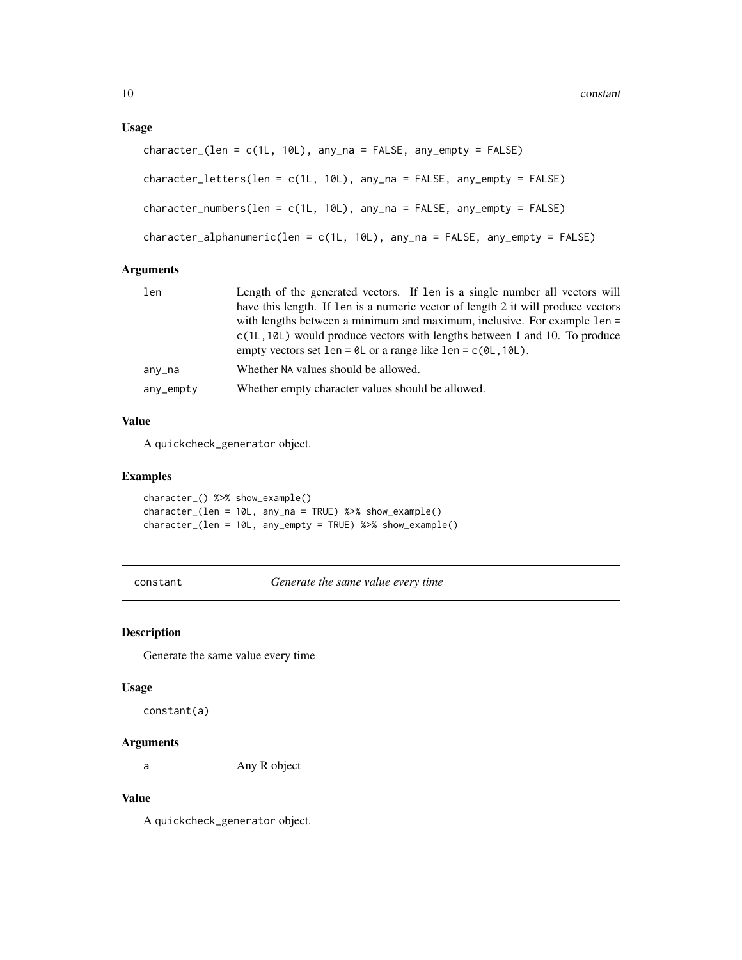#### <span id="page-9-0"></span>Usage

```
character_{\text{I}}(len = c(1L, 10L), any_na = FALSE, any-empty = FALSE)character_letters(len = c(1L, 10L), any_na = FALSE, any_empty = FALSE)
character_numbers(len = c(1L, 10L), any_na = FALSE, any_empty = FALSE)
character_alphanumeric(len = c(1L, 10L), any_na = FALSE, any_empty = FALSE)
```
#### Arguments

| len       | Length of the generated vectors. If len is a single number all vectors will         |
|-----------|-------------------------------------------------------------------------------------|
|           | have this length. If len is a numeric vector of length 2 it will produce vectors    |
|           | with lengths between a minimum and maximum, inclusive. For example 1en =            |
|           | $c(1L, 10L)$ would produce vectors with lengths between 1 and 10. To produce        |
|           | empty vectors set len = $\theta$ L or a range like len = $c(\theta L, 1\theta L)$ . |
| any_na    | Whether NA values should be allowed.                                                |
| any_empty | Whether empty character values should be allowed.                                   |

# Value

A quickcheck\_generator object.

#### Examples

character\_() %>% show\_example() character\_(len = 10L, any\_na = TRUE) %>% show\_example() character\_(len = 10L, any\_empty = TRUE) %>% show\_example()

constant *Generate the same value every time*

#### Description

Generate the same value every time

#### Usage

constant(a)

# Arguments

a Any R object

#### Value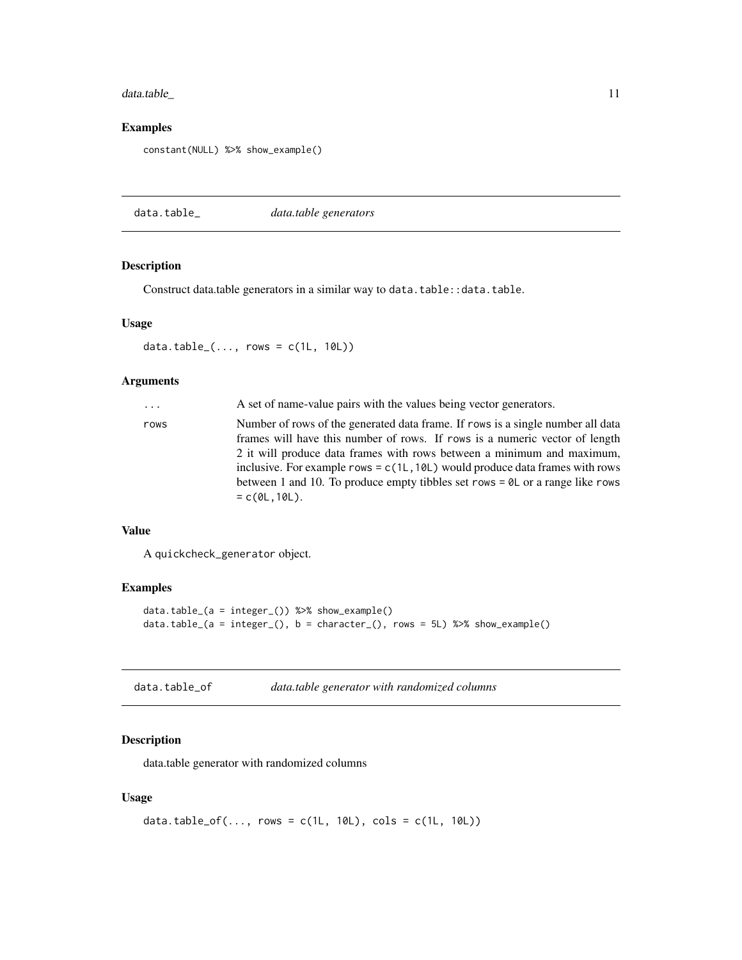# <span id="page-10-0"></span>data.table\_ 11

#### Examples

```
constant(NULL) %>% show_example()
```
data.table\_ *data.table generators*

# Description

Construct data.table generators in a similar way to data.table::data.table.

#### Usage

data.table\_ $(\ldots,$  rows =  $c(1L, 10L))$ 

# Arguments

| $\cdots$ | A set of name-value pairs with the values being vector generators.                                                                                                                                                                                                                                                                                                                                                                     |
|----------|----------------------------------------------------------------------------------------------------------------------------------------------------------------------------------------------------------------------------------------------------------------------------------------------------------------------------------------------------------------------------------------------------------------------------------------|
| rows     | Number of rows of the generated data frame. If rows is a single number all data<br>frames will have this number of rows. If rows is a numeric vector of length<br>2 it will produce data frames with rows between a minimum and maximum,<br>inclusive. For example rows = $c(1L, 10L)$ would produce data frames with rows<br>between 1 and 10. To produce empty tibbles set rows $= \theta L$ or a range like rows<br>$= c(0L, 10L).$ |
|          |                                                                                                                                                                                                                                                                                                                                                                                                                                        |

#### Value

A quickcheck\_generator object.

#### Examples

```
data.table_(a = integer_()) %>% show_example()
data.table_(a = integer_(), b = character_(), rows = 5L) %>% show_example()
```

| data.table_of |  | data.table generator with randomized columns |  |  |
|---------------|--|----------------------------------------------|--|--|
|---------------|--|----------------------------------------------|--|--|

# Description

data.table generator with randomized columns

#### Usage

```
data.table_of(..., rows = c(1L, 10L), cols = c(1L, 10L))
```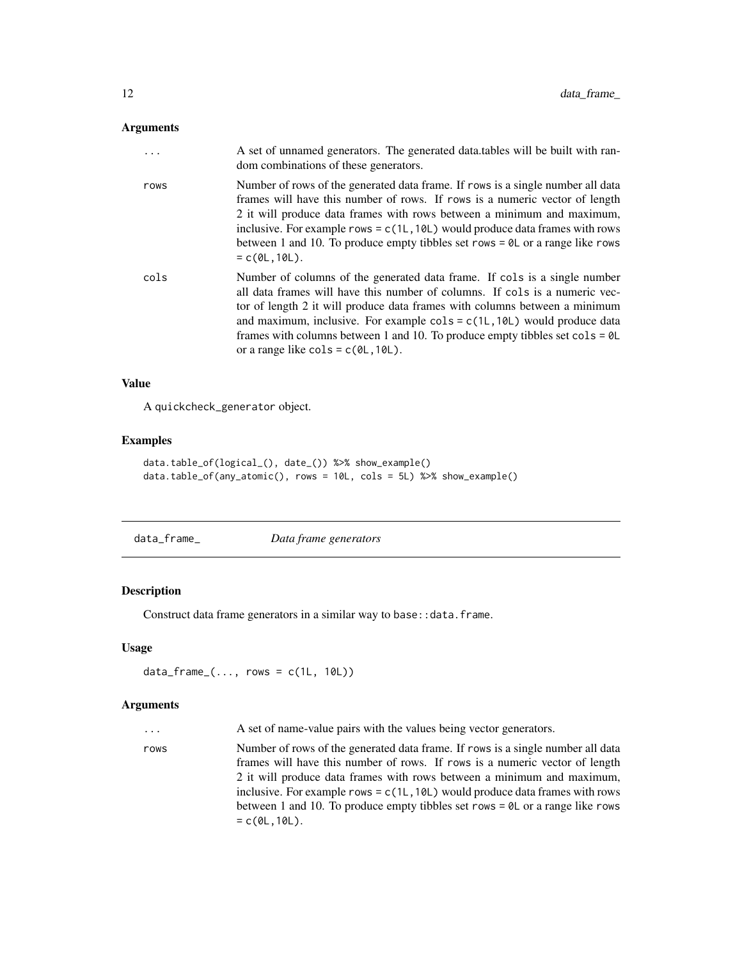#### <span id="page-11-0"></span>Arguments

| .    | A set of unnamed generators. The generated data tables will be built with ran-<br>dom combinations of these generators.                                                                                                                                                                                                                                                                                                                                                                                           |
|------|-------------------------------------------------------------------------------------------------------------------------------------------------------------------------------------------------------------------------------------------------------------------------------------------------------------------------------------------------------------------------------------------------------------------------------------------------------------------------------------------------------------------|
| rows | Number of rows of the generated data frame. If rows is a single number all data<br>frames will have this number of rows. If rows is a numeric vector of length<br>2 it will produce data frames with rows between a minimum and maximum,<br>inclusive. For example rows = $c(1L, 10L)$ would produce data frames with rows<br>between 1 and 10. To produce empty tibbles set rows $= \theta L$ or a range like rows<br>$= c(0L, 10L)$ .                                                                           |
| cols | Number of columns of the generated data frame. If cols is a single number<br>all data frames will have this number of columns. If cols is a numeric vec-<br>tor of length 2 it will produce data frames with columns between a minimum<br>and maximum, inclusive. For example $\text{cols} = c(1L, 10L)$ would produce data<br>frames with columns between 1 and 10. To produce empty tibbles set $\text{cols} = \text{OL}$<br>or a range like $\text{cols} = \text{c}(\emptyset \text{L}, 1\emptyset \text{L}).$ |

#### Value

A quickcheck\_generator object.

#### Examples

```
data.table_of(logical_(), date_()) %>% show_example()
data.table_of(any_atomic(), rows = 10L, cols = 5L) %>% show_example()
```
data\_frame\_ *Data frame generators*

#### Description

Construct data frame generators in a similar way to base: : data.frame.

#### Usage

```
data_frame( \ldots, \text{rows} = c(1L, 10L))
```
#### Arguments

| . | A set of name-value pairs with the values being vector generators. |  |  |
|---|--------------------------------------------------------------------|--|--|
|   |                                                                    |  |  |

rows Number of rows of the generated data frame. If rows is a single number all data frames will have this number of rows. If rows is a numeric vector of length 2 it will produce data frames with rows between a minimum and maximum, inclusive. For example rows =  $c(1L,10L)$  would produce data frames with rows between 1 and 10. To produce empty tibbles set rows = 0L or a range like rows  $= c(0L, 10L)$ .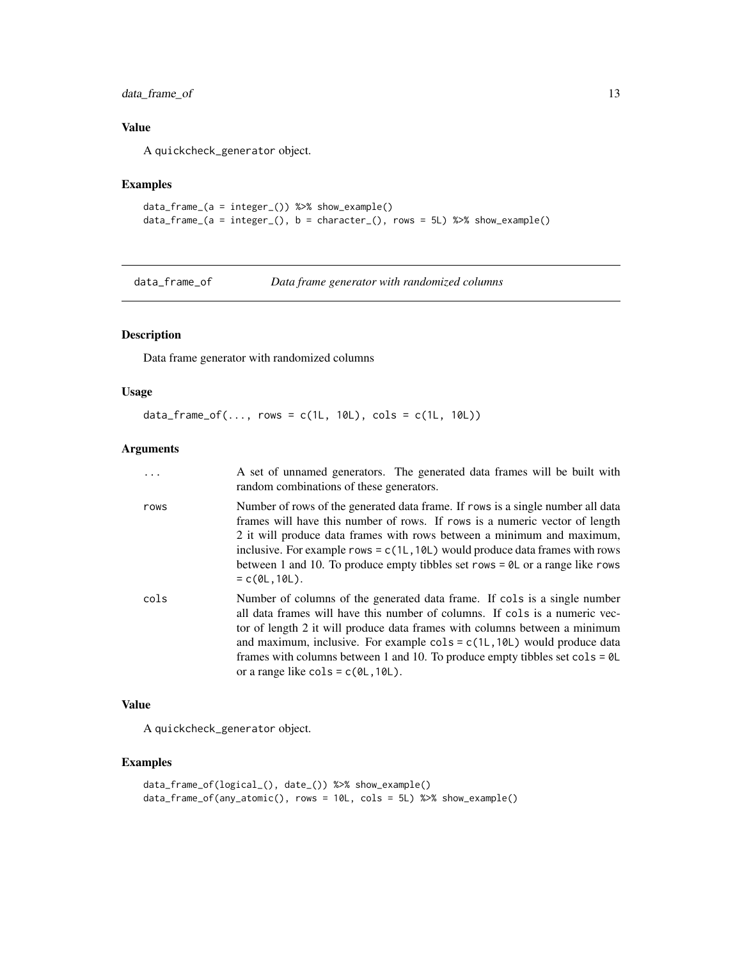# <span id="page-12-0"></span>data\_frame\_of 13

# Value

A quickcheck\_generator object.

# Examples

```
data_frame_(a = integer_()) %>% show_example()
data_frame_(a = integer_(), b = character_(), rows = 5L) %>% show_example()
```
data\_frame\_of *Data frame generator with randomized columns*

# Description

Data frame generator with randomized columns

#### Usage

```
data_frame_of(..., ~rows = c(1L, 10L), ~cols = c(1L, 10L))
```
#### Arguments

|      | A set of unnamed generators. The generated data frames will be built with<br>random combinations of these generators.                                                                                                                                                                                                                                                                                                                                                                                                          |
|------|--------------------------------------------------------------------------------------------------------------------------------------------------------------------------------------------------------------------------------------------------------------------------------------------------------------------------------------------------------------------------------------------------------------------------------------------------------------------------------------------------------------------------------|
| rows | Number of rows of the generated data frame. If rows is a single number all data<br>frames will have this number of rows. If rows is a numeric vector of length<br>2 it will produce data frames with rows between a minimum and maximum,<br>inclusive. For example rows = $c(1L, 10L)$ would produce data frames with rows<br>between 1 and 10. To produce empty tibbles set rows $= 0$ L or a range like rows<br>$= c(0L, 10L)$ .                                                                                             |
| cols | Number of columns of the generated data frame. If cols is a single number<br>all data frames will have this number of columns. If cols is a numeric vec-<br>tor of length 2 it will produce data frames with columns between a minimum<br>and maximum, inclusive. For example $\text{cols} = \text{c}(1\text{L}, 10\text{L})$ would produce data<br>frames with columns between 1 and 10. To produce empty tibbles set $\text{cols} = \text{OL}$<br>or a range like $\text{cols} = \text{c}(\emptyset \text{L}, 10 \text{L}).$ |

#### Value

A quickcheck\_generator object.

```
data_frame_of(logical_(), date_()) %>% show_example()
data_frame_of(any_atomic(), rows = 10L, cols = 5L) %>% show_example()
```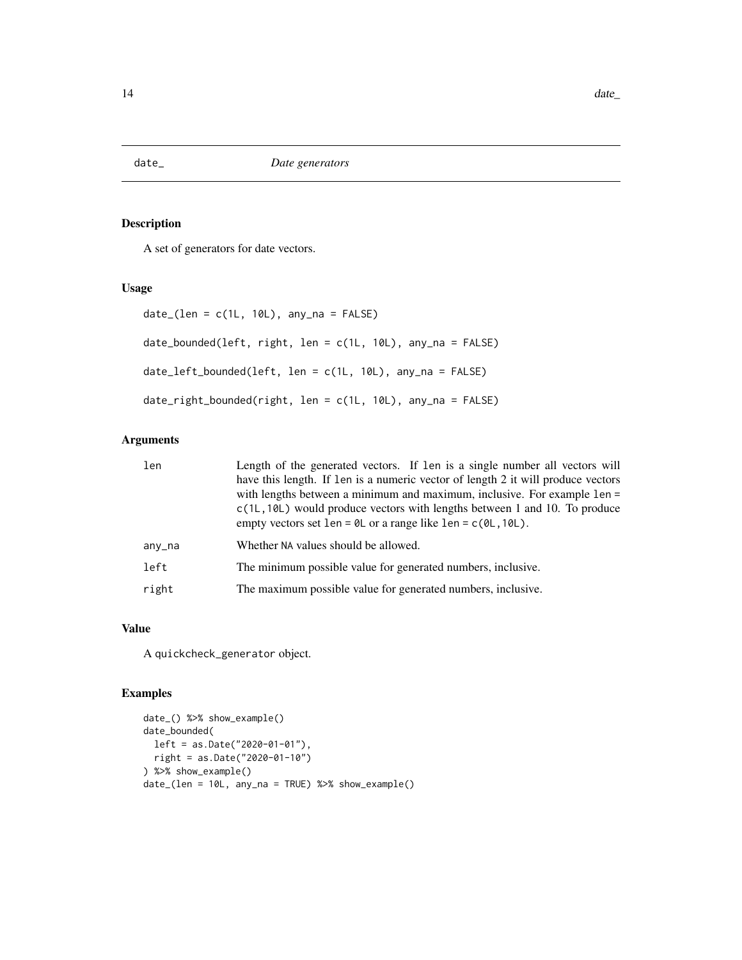<span id="page-13-0"></span>

A set of generators for date vectors.

#### Usage

```
date_{l}(len = c(1L, 10L), any_na = FALSE)date_bounded(left, right, len = c(1L, 10L), any_na = FALSE)
date_left_bounded(left, len = c(1L, 10L), any_na = FALSE)
date_right_bounded(right, len = c(1L, 10L), any_na = FALSE)
```
# Arguments

| len    | Length of the generated vectors. If len is a single number all vectors will<br>have this length. If len is a numeric vector of length 2 it will produce vectors<br>with lengths between a minimum and maximum, inclusive. For example len =<br>$c(1L, 10L)$ would produce vectors with lengths between 1 and 10. To produce<br>empty vectors set len = $\theta$ L or a range like len = $c(\theta L, 1\theta L)$ . |
|--------|--------------------------------------------------------------------------------------------------------------------------------------------------------------------------------------------------------------------------------------------------------------------------------------------------------------------------------------------------------------------------------------------------------------------|
| any_na | Whether NA values should be allowed.                                                                                                                                                                                                                                                                                                                                                                               |
| left   | The minimum possible value for generated numbers, inclusive.                                                                                                                                                                                                                                                                                                                                                       |
| right  | The maximum possible value for generated numbers, inclusive.                                                                                                                                                                                                                                                                                                                                                       |

# Value

A quickcheck\_generator object.

```
date_() %>% show_example()
date_bounded(
 left = as.Date("2020-01-01"),
  right = as.Date("2020-01-10")
) %>% show_example()
date_(len = 10L, any_na = TRUE) %>% show_example()
```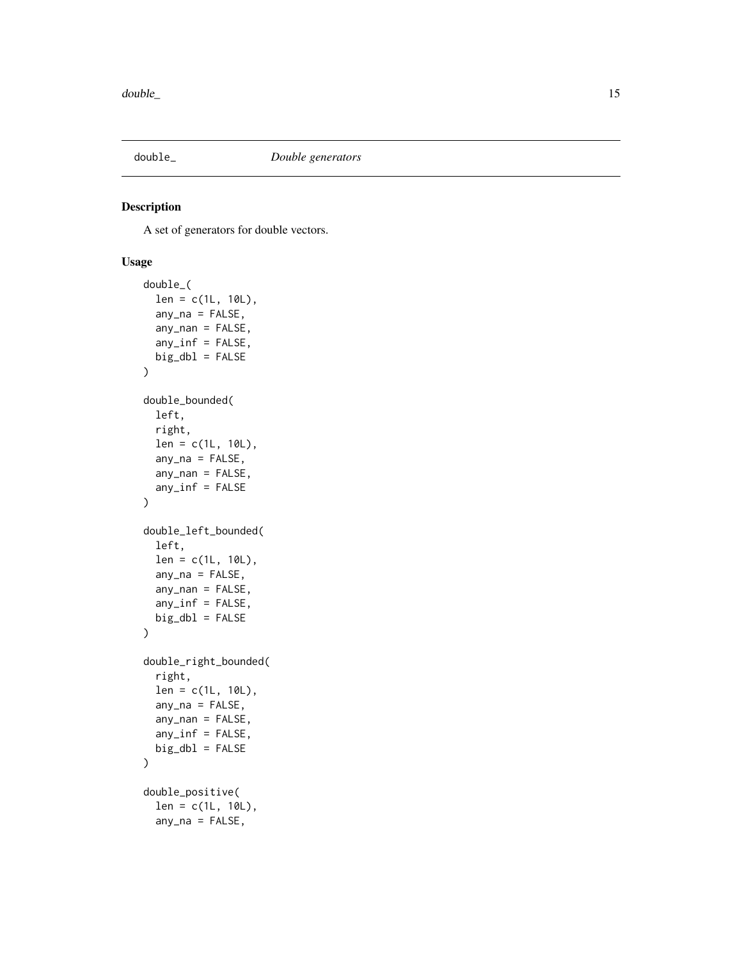<span id="page-14-0"></span>

A set of generators for double vectors.

# Usage

```
double_(
  len = c(1L, 10L),
  any\_na = FALSE,any_nan = FALSE,
  any_inf = FALSE,big\_db1 = FALSE)
double_bounded(
  left,
  right,
  len = c(1L, 10L),
  any_na = FALSE,
  any\_nan = FALSE,any_inf = FALSE
)
double_left_bounded(
  left,
  len = c(1L, 10L),
  any\_na = FALSE,any\_nan = FALSE,any_inf = FALSE,big\_db1 = FALSE\mathcal{L}double_right_bounded(
  right,
  len = c(1L, 10L),
  any\_na = FALSE,any\_nan = FALSE,any_inf = FALSE,
 big\_db1 = FALSE)
double_positive(
  len = c(1L, 10L),
  any\_na = FALSE,
```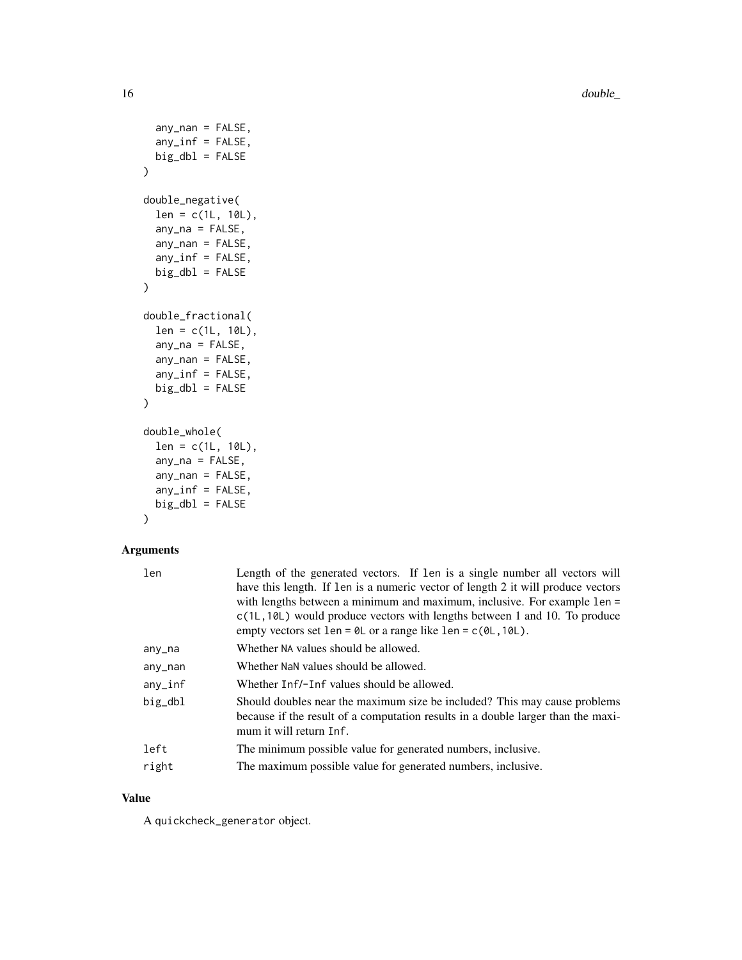16 double\_

```
any\_nan = FALSE,any_inf = FALSE,
 big\_db1 = FALSE\mathcal{L}double_negative(
  len = c(1L, 10L),
  any\_na = FALSE,any\_nan = FALSE,any_info = FALSE,big\_db1 = FALSE)
double_fractional(
  len = c(1L, 10L),
  any\_na = FALSE,any_nan = FALSE,
  any_inf = FALSE,
 big\_db1 = FALSE\mathcal{L}double_whole(
  len = c(1L, 10L),
  any\_na = FALSE,any_nan = FALSE,
  any_inf = FALSE,big\_db1 = FALSE\mathcal{L}
```
# Arguments

| Length of the generated vectors. If len is a single number all vectors will         |
|-------------------------------------------------------------------------------------|
| have this length. If len is a numeric vector of length 2 it will produce vectors    |
| with lengths between a minimum and maximum, inclusive. For example len =            |
| $c(1L, 10L)$ would produce vectors with lengths between 1 and 10. To produce        |
| empty vectors set len = $\theta$ L or a range like len = $c(\theta L, 1\theta L)$ . |
| Whether NA values should be allowed.                                                |
| Whether NaN values should be allowed.                                               |
| Whether Inf/-Inf values should be allowed.                                          |
| Should doubles near the maximum size be included? This may cause problems           |
| because if the result of a computation results in a double larger than the maxi-    |
| mum it will return Inf.                                                             |
| The minimum possible value for generated numbers, inclusive.                        |
| The maximum possible value for generated numbers, inclusive.                        |
|                                                                                     |

# Value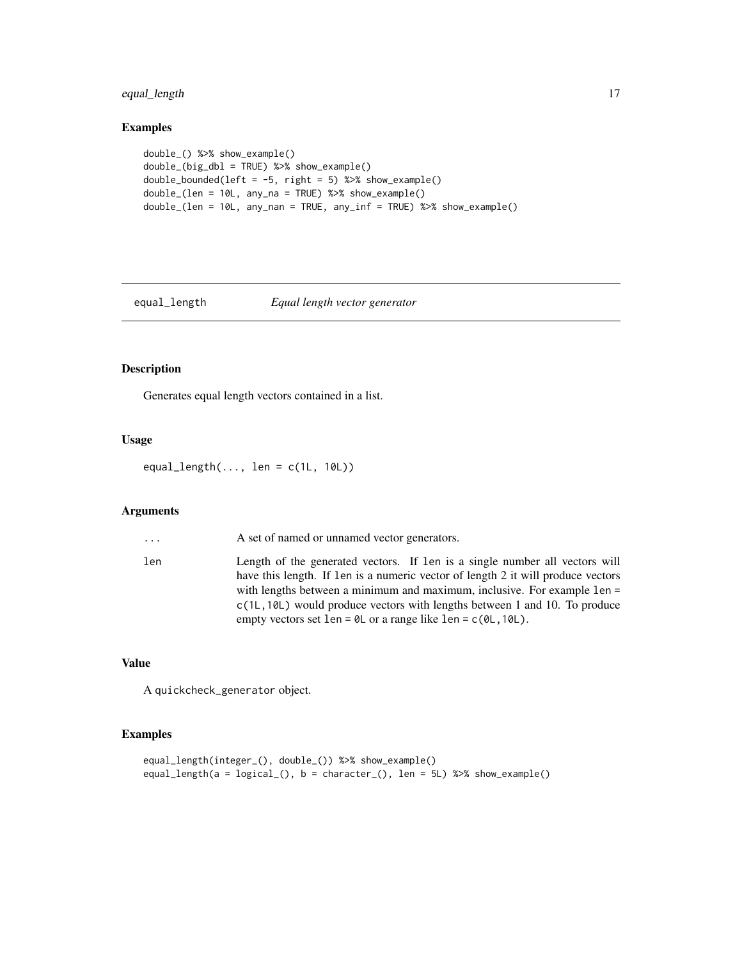# <span id="page-16-0"></span>equal\_length 17

# Examples

```
double_() %>% show_example()
double_(big_dbl = TRUE) %>% show_example()
double_bounded(left = -5, right = 5) %>% show_example()
double_(len = 10L, any_na = TRUE) %>% show_example()
double_(len = 10L, any_nan = TRUE, any_inf = TRUE) %>% show_example()
```
#### equal\_length *Equal length vector generator*

# Description

Generates equal length vectors contained in a list.

# Usage

equal\_length $(..., \text{ len} = c(1L, 10L))$ 

#### Arguments

| $\cdots$ | A set of named or unnamed vector generators.                                                                                                                                                                                                                                                                                                                                                                       |
|----------|--------------------------------------------------------------------------------------------------------------------------------------------------------------------------------------------------------------------------------------------------------------------------------------------------------------------------------------------------------------------------------------------------------------------|
| len      | Length of the generated vectors. If len is a single number all vectors will<br>have this length. If len is a numeric vector of length 2 it will produce vectors<br>with lengths between a minimum and maximum, inclusive. For example 1en =<br>$c(1L, 10L)$ would produce vectors with lengths between 1 and 10. To produce<br>empty vectors set len = $\theta$ L or a range like len = $c(\theta L, 1\theta L)$ . |

#### Value

A quickcheck\_generator object.

```
equal_length(integer_(), double_()) %>% show_example()
equal_length(a = logical_(), b = character_(), len = 5L) %>% show_example()
```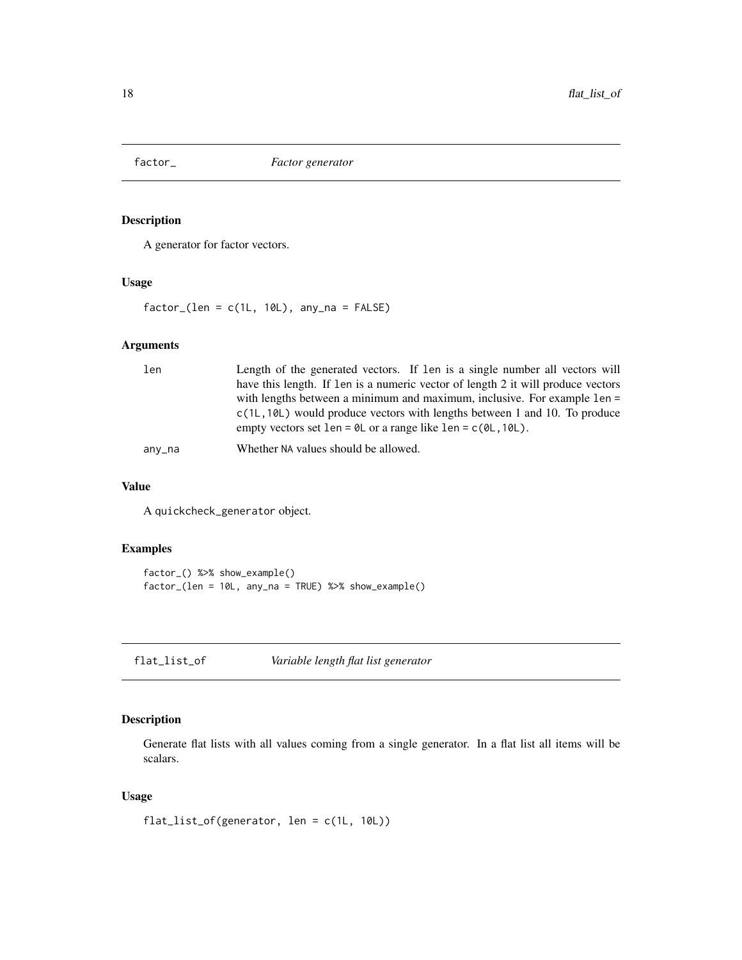<span id="page-17-0"></span>

A generator for factor vectors.

#### Usage

 $factor_{(len = c(1L, 10L), any_na = FALSE)}$ 

# Arguments

| len    | Length of the generated vectors. If len is a single number all vectors will         |
|--------|-------------------------------------------------------------------------------------|
|        | have this length. If len is a numeric vector of length 2 it will produce vectors    |
|        | with lengths between a minimum and maximum, inclusive. For example 1en =            |
|        | $c(1L, 10L)$ would produce vectors with lengths between 1 and 10. To produce        |
|        | empty vectors set len = $\theta$ L or a range like len = $c(\theta L, 1\theta L)$ . |
| any_na | Whether NA values should be allowed.                                                |

#### Value

A quickcheck\_generator object.

# Examples

```
factor_() %>% show_example()
factor_(len = 10L, any_na = TRUE) %>% show_example()
```
flat\_list\_of *Variable length flat list generator*

# Description

Generate flat lists with all values coming from a single generator. In a flat list all items will be scalars.

#### Usage

flat\_list\_of(generator, len = c(1L, 10L))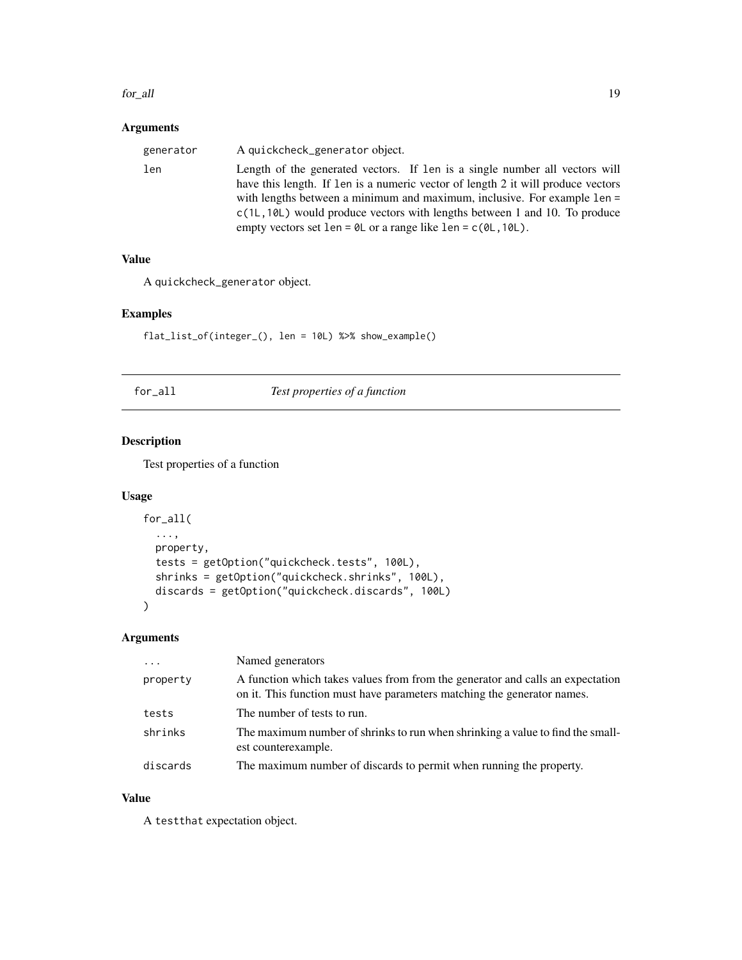#### <span id="page-18-0"></span>for all the same state of the state of the state of the state of the state of the state of the state of the state of the state of the state of the state of the state of the state of the state of the state of the state of t

# Arguments

| generator | A quickcheck_generator object.                                                                                                                                                                                                                                                                                                                                                                                     |
|-----------|--------------------------------------------------------------------------------------------------------------------------------------------------------------------------------------------------------------------------------------------------------------------------------------------------------------------------------------------------------------------------------------------------------------------|
| len       | Length of the generated vectors. If len is a single number all vectors will<br>have this length. If len is a numeric vector of length 2 it will produce vectors<br>with lengths between a minimum and maximum, inclusive. For example 1en =<br>$c(1L, 10L)$ would produce vectors with lengths between 1 and 10. To produce<br>empty vectors set len = $\theta$ L or a range like len = $c(\theta L, 1\theta L)$ . |

#### Value

A quickcheck\_generator object.

# Examples

flat\_list\_of(integer\_(), len = 10L) %>% show\_example()

# for\_all *Test properties of a function*

# Description

Test properties of a function

# Usage

```
for_all(
  ...,
 property,
 tests = getOption("quickcheck.tests", 100L),
 shrinks = getOption("quickcheck.shrinks", 100L),
 discards = getOption("quickcheck.discards", 100L)
)
```
# Arguments

| $\cdots$ | Named generators                                                                                                                                          |
|----------|-----------------------------------------------------------------------------------------------------------------------------------------------------------|
| property | A function which takes values from from the generator and calls an expectation<br>on it. This function must have parameters matching the generator names. |
| tests    | The number of tests to run.                                                                                                                               |
| shrinks  | The maximum number of shrinks to run when shrinking a value to find the small-<br>est counterexample.                                                     |
| discards | The maximum number of discards to permit when running the property.                                                                                       |

#### Value

A testthat expectation object.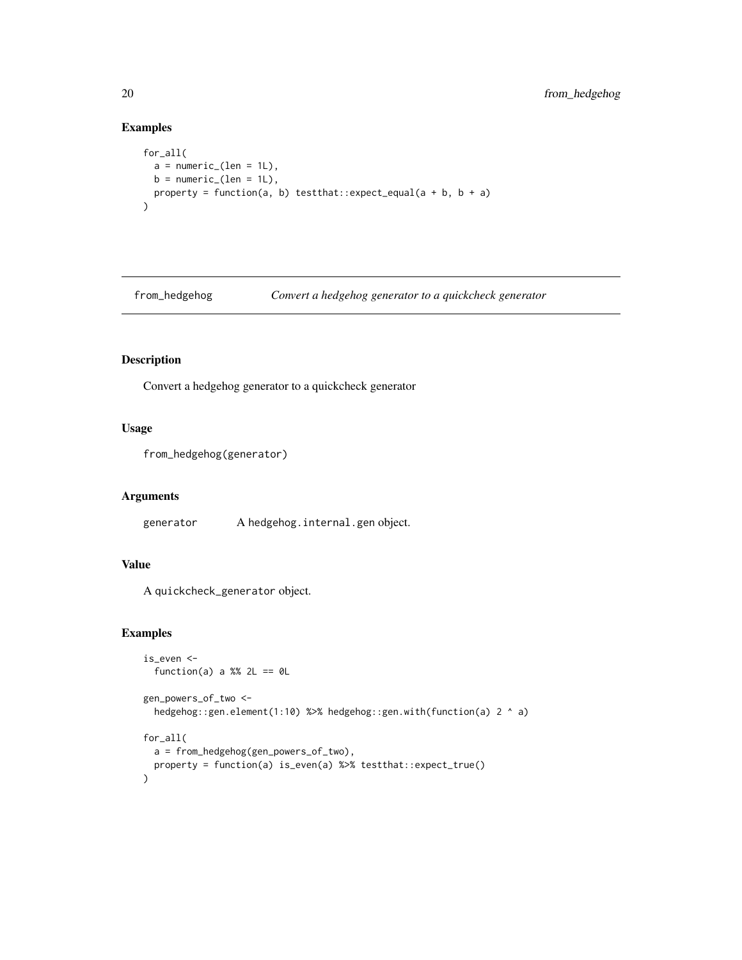# Examples

```
for_all(
  a = numeric_{\text{len}} = 1L),
  b = numeric_{\text{len}} = 1L),
  property = function(a, b) testthat::expect_equal(a + b, b + a)
\mathcal{L}
```
from\_hedgehog *Convert a hedgehog generator to a quickcheck generator*

# Description

Convert a hedgehog generator to a quickcheck generator

#### Usage

```
from_hedgehog(generator)
```
#### Arguments

generator A hedgehog.internal.gen object.

# Value

A quickcheck\_generator object.

```
is_even <-
 function(a) a %% 2L == \thetaL
gen_powers_of_two <-
 hedgehog::gen.element(1:10) %>% hedgehog::gen.with(function(a) 2 ^ a)
for_all(
 a = from_hedgehog(gen_powers_of_two),
 property = function(a) is_even(a) %>% testthat::expect_true()
)
```
<span id="page-19-0"></span>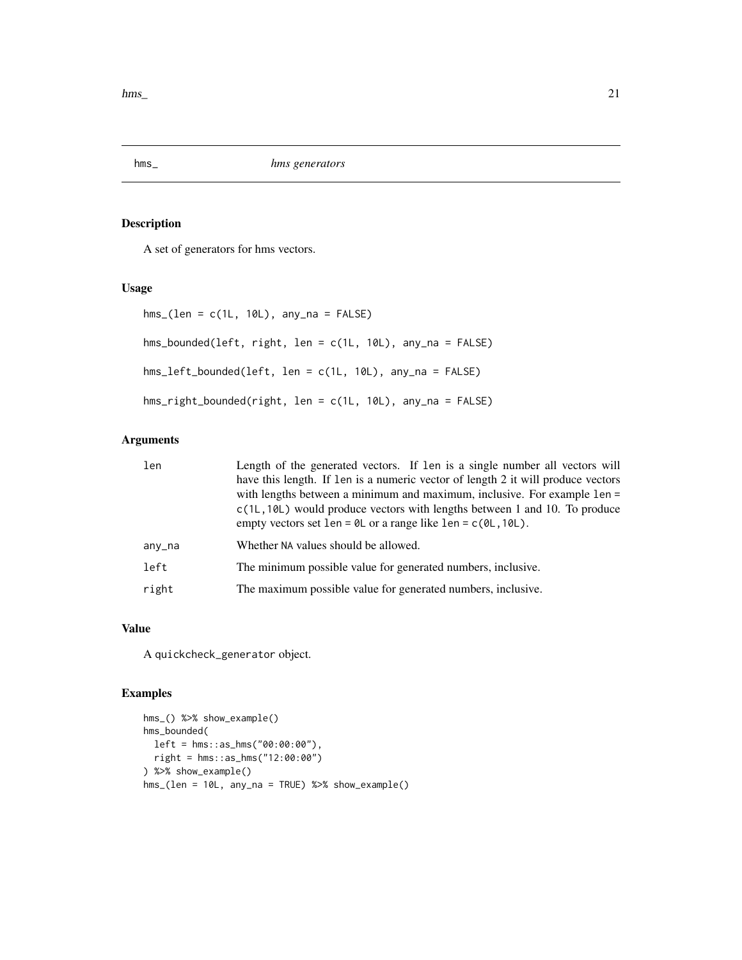<span id="page-20-0"></span> $h_{\rm rms}$  21

# Description

A set of generators for hms vectors.

#### Usage

```
hms_{1}(len = c(1L, 10L), any_na = FALSE)hms_bounded(left, right, len = c(1L, 10L), any_na = FALSE)
hms_left_bounded(left, len = c(1L, 10L), any_na = FALSE)
hms_right_bounded(right, len = c(1L, 10L), any_na = FALSE)
```
# Arguments

| len    | Length of the generated vectors. If len is a single number all vectors will<br>have this length. If len is a numeric vector of length 2 it will produce vectors<br>with lengths between a minimum and maximum, inclusive. For example len =<br>$c(1L, 10L)$ would produce vectors with lengths between 1 and 10. To produce<br>empty vectors set len = $\theta$ L or a range like len = $c(\theta L, 1\theta L)$ . |
|--------|--------------------------------------------------------------------------------------------------------------------------------------------------------------------------------------------------------------------------------------------------------------------------------------------------------------------------------------------------------------------------------------------------------------------|
| any_na | Whether NA values should be allowed.                                                                                                                                                                                                                                                                                                                                                                               |
| left   | The minimum possible value for generated numbers, inclusive.                                                                                                                                                                                                                                                                                                                                                       |
| right  | The maximum possible value for generated numbers, inclusive.                                                                                                                                                                                                                                                                                                                                                       |

# Value

A quickcheck\_generator object.

```
hms_() %>% show_example()
hms_bounded(
 left = hms::as_hms("00:00:00"),
  right = hms::as_hms("12:00:00")
) %>% show_example()
hms_(len = 10L, any_na = TRUE) %>% show_example()
```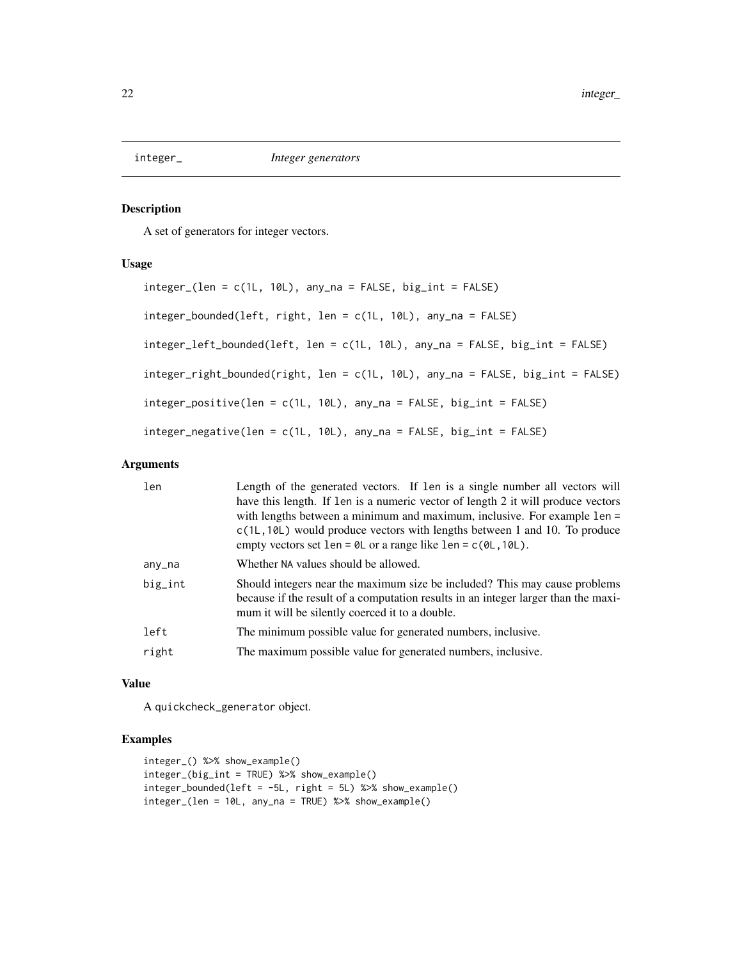<span id="page-21-0"></span>

A set of generators for integer vectors.

#### Usage

```
integer_(len = c(1L, 10L), any_na = FALSE, big_int = FALSE)
integer_bounded(left, right, len = c(1L, 10L), any_na = FALSE)
integer_left_bounded(left, len = c(1L, 10L), any_na = FALSE, big_int = FALSE)
integer_right_bounded(right, len = c(1L, 10L), any_na = FALSE, big_int = FALSE)
integer_positive(len = c(1L, 10L), any_na = FALSE, big_int = FALSE)
integer_negative(len = c(1L, 10L), any_na = FALSE, big_int = FALSE)
```
#### Arguments

| len     | Length of the generated vectors. If len is a single number all vectors will<br>have this length. If len is a numeric vector of length 2 it will produce vectors<br>with lengths between a minimum and maximum, inclusive. For example len =<br>$c(1L, 10L)$ would produce vectors with lengths between 1 and 10. To produce<br>empty vectors set len = $\theta$ L or a range like len = $c(\theta L, 1\theta L)$ . |
|---------|--------------------------------------------------------------------------------------------------------------------------------------------------------------------------------------------------------------------------------------------------------------------------------------------------------------------------------------------------------------------------------------------------------------------|
| any_na  | Whether NA values should be allowed.                                                                                                                                                                                                                                                                                                                                                                               |
| big_int | Should integers near the maximum size be included? This may cause problems<br>because if the result of a computation results in an integer larger than the maxi-<br>mum it will be silently coerced it to a double.                                                                                                                                                                                                |
| left    | The minimum possible value for generated numbers, inclusive.                                                                                                                                                                                                                                                                                                                                                       |
| right   | The maximum possible value for generated numbers, inclusive.                                                                                                                                                                                                                                                                                                                                                       |
|         |                                                                                                                                                                                                                                                                                                                                                                                                                    |

#### Value

A quickcheck\_generator object.

```
integer_() %>% show_example()
integer_(big_int = TRUE) %>% show_example()
integer_bounded(left = -5L, right = 5L) %>% show_example()
integer_(len = 10L, any_na = TRUE) %>% show_example()
```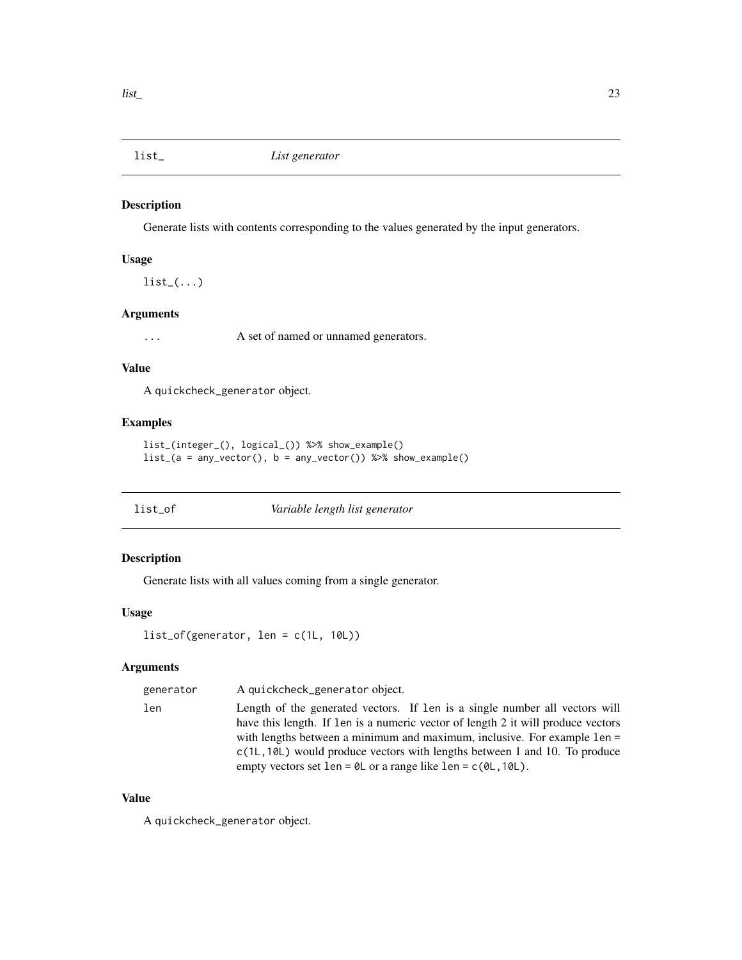<span id="page-22-0"></span>

Generate lists with contents corresponding to the values generated by the input generators.

# Usage

 $list_-(\ldots)$ 

# Arguments

... A set of named or unnamed generators.

# Value

A quickcheck\_generator object.

#### Examples

```
list_(integer_(), logical_()) %>% show_example()
list_{a} = any\_vector(), b = any\_vector() %>% show_example()
```
list\_of *Variable length list generator*

# Description

Generate lists with all values coming from a single generator.

# Usage

```
list_of(generator, len = c(1L, 10L))
```
# Arguments

| generator | A quickcheck_generator object.                                                      |
|-----------|-------------------------------------------------------------------------------------|
| len       | Length of the generated vectors. If len is a single number all vectors will         |
|           | have this length. If len is a numeric vector of length 2 it will produce vectors    |
|           | with lengths between a minimum and maximum, inclusive. For example len =            |
|           | $c(1L, 10L)$ would produce vectors with lengths between 1 and 10. To produce        |
|           | empty vectors set len = $\theta$ L or a range like len = $c(\theta L, 1\theta L)$ . |

#### Value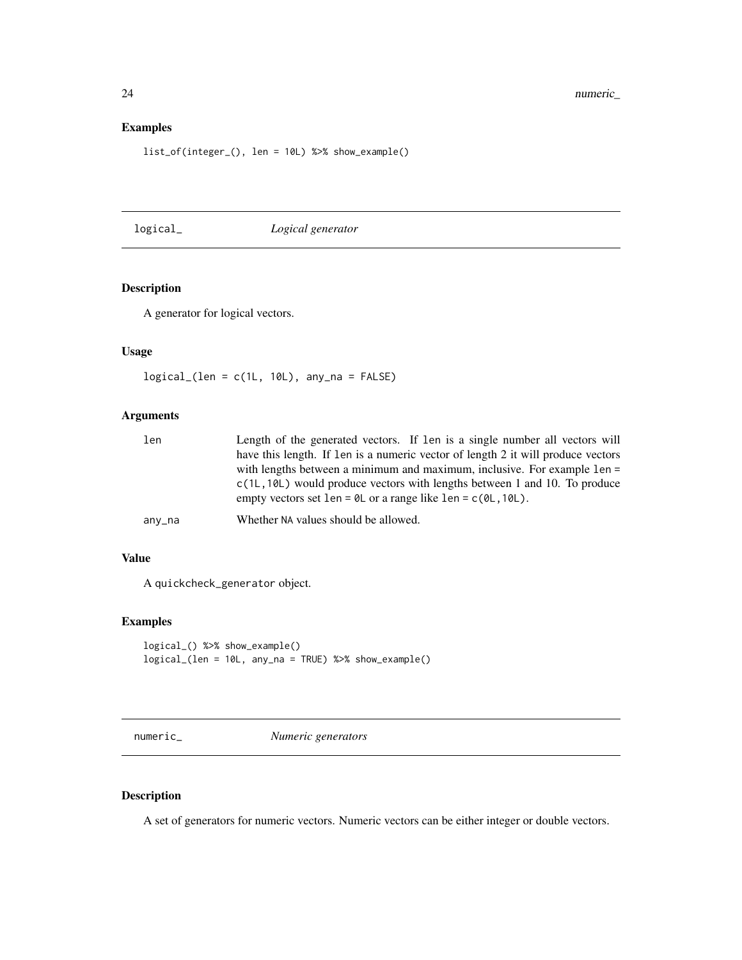24 numeric\_

#### Examples

list\_of(integer\_(), len = 10L) %>% show\_example()

logical\_ *Logical generator*

# Description

A generator for logical vectors.

#### Usage

logical\_(len = c(1L, 10L), any\_na = FALSE)

#### Arguments

| len    | Length of the generated vectors. If len is a single number all vectors will                                                                                         |
|--------|---------------------------------------------------------------------------------------------------------------------------------------------------------------------|
|        | have this length. If len is a numeric vector of length 2 it will produce vectors                                                                                    |
|        | with lengths between a minimum and maximum, inclusive. For example 1en =                                                                                            |
|        | $c(1L, 10L)$ would produce vectors with lengths between 1 and 10. To produce<br>empty vectors set len = $\theta$ L or a range like len = $c(\theta L, 1\theta L)$ . |
| any_na | Whether NA values should be allowed.                                                                                                                                |

#### Value

A quickcheck\_generator object.

# Examples

```
logical_() %>% show_example()
logical_(len = 10L, any_na = TRUE) %>% show_example()
```
numeric\_ *Numeric generators*

# Description

A set of generators for numeric vectors. Numeric vectors can be either integer or double vectors.

<span id="page-23-0"></span>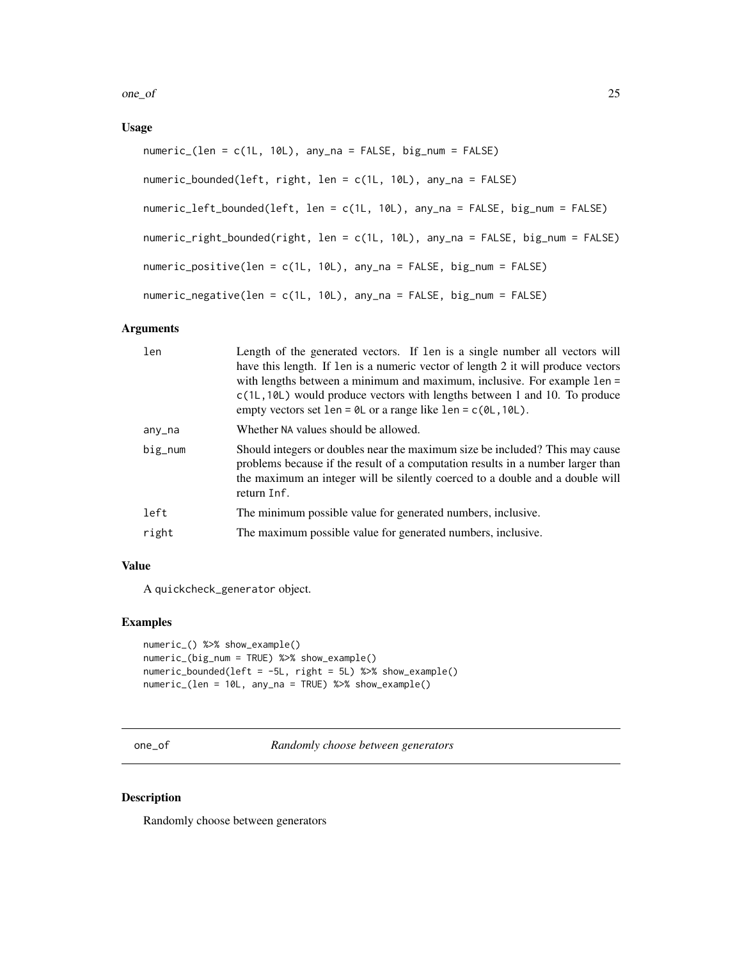<span id="page-24-0"></span>one\_of 25

# Usage

```
numeric_(len = c(1L, 10L), any_na = FALSE, big_num = FALSE)
numeric_bounded(left, right, len = c(1L, 10L), any_na = FALSE)
numeric_left_bounded(left, len = c(1L, 10L), any_na = FALSE, big_num = FALSE)
numeric_right_bounded(right, len = c(1L, 10L), any_na = FALSE, big_num = FALSE)
numeric_positive(len = c(1L, 10L), any_na = FALSE, big_num = FALSE)
numeric_negative(len = c(1L, 10L), any_na = FALSE, big_num = FALSE)
```
#### Arguments

| len     | Length of the generated vectors. If len is a single number all vectors will<br>have this length. If len is a numeric vector of length 2 it will produce vectors<br>with lengths between a minimum and maximum, inclusive. For example len =<br>$c(1L, 10L)$ would produce vectors with lengths between 1 and 10. To produce<br>empty vectors set len = $\theta$ L or a range like len = $c(\theta L, 1\theta L)$ . |
|---------|--------------------------------------------------------------------------------------------------------------------------------------------------------------------------------------------------------------------------------------------------------------------------------------------------------------------------------------------------------------------------------------------------------------------|
| any_na  | Whether NA values should be allowed.                                                                                                                                                                                                                                                                                                                                                                               |
| $big_n$ | Should integers or doubles near the maximum size be included? This may cause<br>problems because if the result of a computation results in a number larger than<br>the maximum an integer will be silently coerced to a double and a double will<br>return Inf.                                                                                                                                                    |
| left    | The minimum possible value for generated numbers, inclusive.                                                                                                                                                                                                                                                                                                                                                       |
| right   | The maximum possible value for generated numbers, inclusive.                                                                                                                                                                                                                                                                                                                                                       |
|         |                                                                                                                                                                                                                                                                                                                                                                                                                    |

# Value

A quickcheck\_generator object.

#### Examples

```
numeric_() %>% show_example()
numeric_(big_num = TRUE) %>% show_example()
numeric_bounded(left = -5L, right = 5L) %>% show_example()
numeric_(len = 10L, any_na = TRUE) %>% show_example()
```
one\_of *Randomly choose between generators*

#### Description

Randomly choose between generators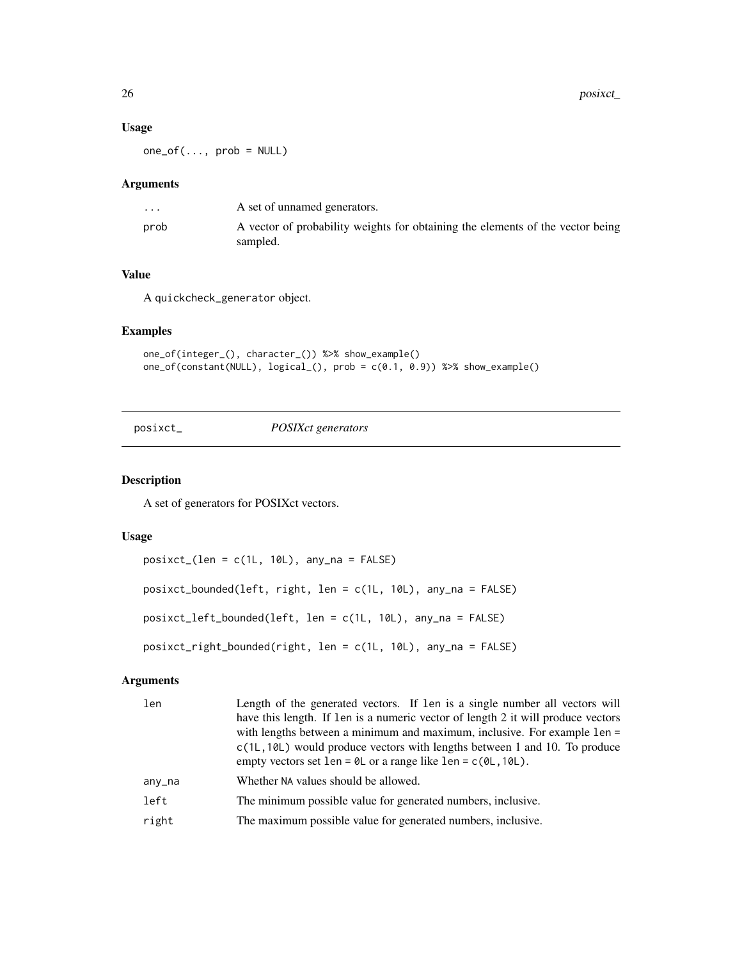#### Usage

 $one_of(..., prob = NULL)$ 

#### Arguments

| $\cdot$ $\cdot$ $\cdot$ | A set of unnamed generators.                                                               |
|-------------------------|--------------------------------------------------------------------------------------------|
| prob                    | A vector of probability weights for obtaining the elements of the vector being<br>sampled. |

# Value

A quickcheck\_generator object.

#### Examples

```
one_of(integer_(), character_()) %>% show_example()
one_of(constant(NULL), logical_(), prob = c(0.1, 0.9)) %>% show_example()
```
posixct\_ *POSIXct generators*

#### Description

A set of generators for POSIXct vectors.

#### Usage

posixct\_(len = c(1L, 10L), any\_na = FALSE) posixct\_bounded(left, right, len = c(1L, 10L), any\_na = FALSE) posixct\_left\_bounded(left, len = c(1L, 10L), any\_na = FALSE) posixct\_right\_bounded(right, len = c(1L, 10L), any\_na = FALSE)

# Arguments

| len    | Length of the generated vectors. If len is a single number all vectors will<br>have this length. If len is a numeric vector of length 2 it will produce vectors<br>with lengths between a minimum and maximum, inclusive. For example len =<br>$c(1L, 10L)$ would produce vectors with lengths between 1 and 10. To produce<br>empty vectors set len = $\theta$ L or a range like len = $c(\theta L, 1\theta L)$ . |
|--------|--------------------------------------------------------------------------------------------------------------------------------------------------------------------------------------------------------------------------------------------------------------------------------------------------------------------------------------------------------------------------------------------------------------------|
| any_na | Whether NA values should be allowed.                                                                                                                                                                                                                                                                                                                                                                               |
| left   | The minimum possible value for generated numbers, inclusive.                                                                                                                                                                                                                                                                                                                                                       |
| right  | The maximum possible value for generated numbers, inclusive.                                                                                                                                                                                                                                                                                                                                                       |

<span id="page-25-0"></span>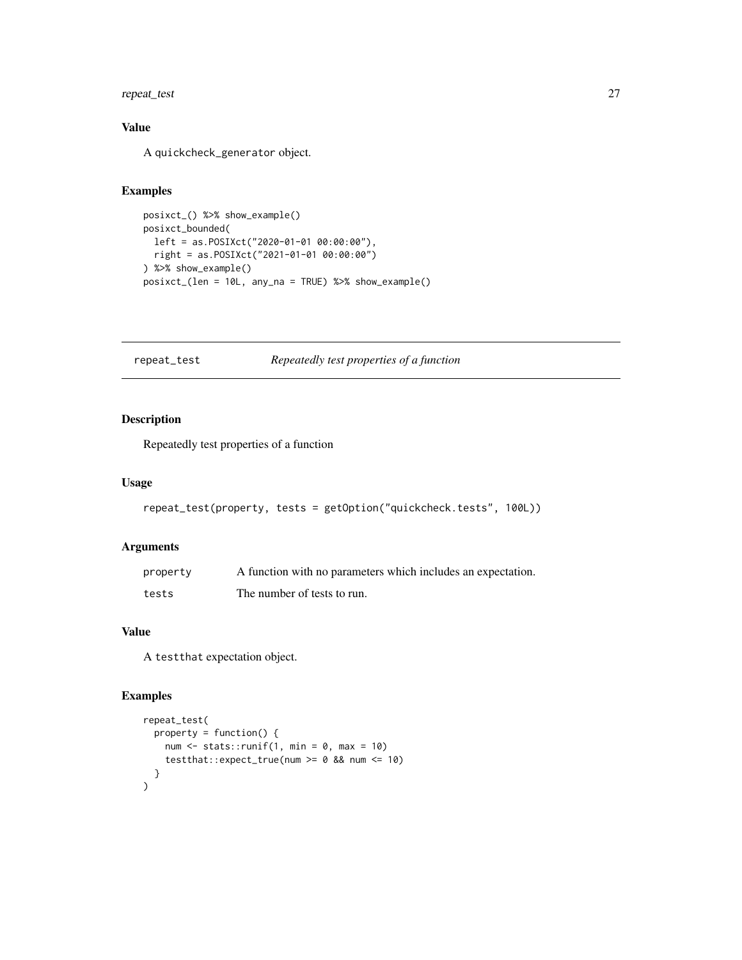# <span id="page-26-0"></span>repeat\_test 27

# Value

A quickcheck\_generator object.

#### Examples

```
posixct_() %>% show_example()
posixct_bounded(
 left = as.POSIXct("2020-01-01 00:00:00"),
 right = as.POSIXct("2021-01-01 00:00:00")
) %>% show_example()
posixct_(len = 10L, any_na = TRUE) %>% show_example()
```
# repeat\_test *Repeatedly test properties of a function*

# Description

Repeatedly test properties of a function

#### Usage

```
repeat_test(property, tests = getOption("quickcheck.tests", 100L))
```
#### Arguments

| property | A function with no parameters which includes an expectation. |
|----------|--------------------------------------------------------------|
| tests    | The number of tests to run.                                  |

#### Value

A testthat expectation object.

```
repeat_test(
  property = function() {
   num \le stats:: runif(1, min = 0, max = 10)
   testthat::expect_true(num >= 0 && num <= 10)
  }
)
```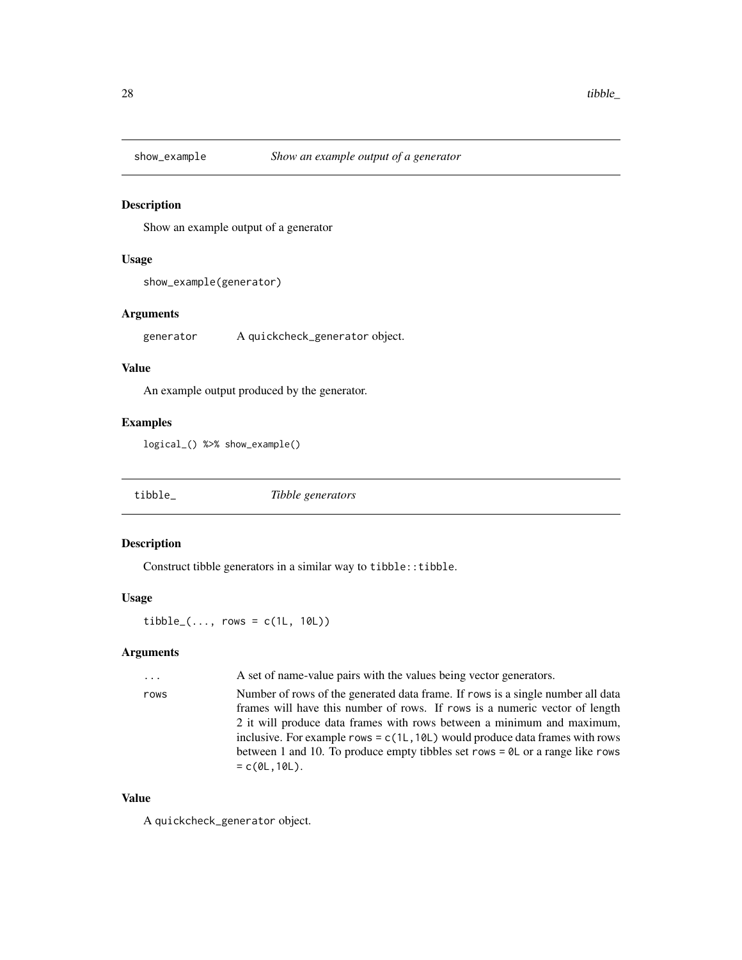<span id="page-27-0"></span>

Show an example output of a generator

#### Usage

show\_example(generator)

#### Arguments

generator A quickcheck\_generator object.

#### Value

An example output produced by the generator.

#### Examples

logical\_() %>% show\_example()

tibble\_ *Tibble generators*

#### Description

Construct tibble generators in a similar way to tibble::tibble.

#### Usage

 $tibble_{-}(\ldots, rows = c(1L, 10L))$ 

#### Arguments

... A set of name-value pairs with the values being vector generators.

rows Number of rows of the generated data frame. If rows is a single number all data frames will have this number of rows. If rows is a numeric vector of length 2 it will produce data frames with rows between a minimum and maximum, inclusive. For example rows =  $c(1L,10L)$  would produce data frames with rows between 1 and 10. To produce empty tibbles set rows = 0L or a range like rows  $= c(0L, 10L).$ 

#### Value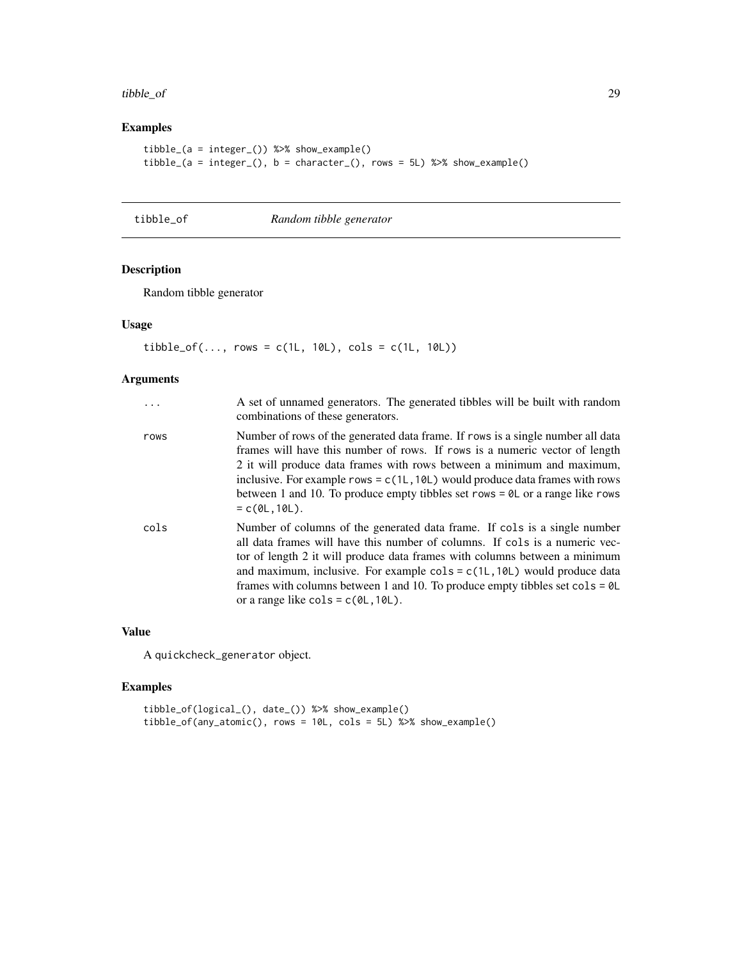#### <span id="page-28-0"></span>tibble\_of 29

# Examples

```
tibble_(a = integer_()) %>% show_example()
tible_{a = integer_{b}}(0, b = character_{b}), t = x + y and t = 5.
```
tibble\_of *Random tibble generator*

# Description

Random tibble generator

# Usage

 $tible_of(..., rows = c(1L, 10L), cols = c(1L, 10L))$ 

# Arguments

| $\ddots$ | A set of unnamed generators. The generated tibbles will be built with random<br>combinations of these generators.                                                                                                                                                                                                                                                                                                                                                                                        |
|----------|----------------------------------------------------------------------------------------------------------------------------------------------------------------------------------------------------------------------------------------------------------------------------------------------------------------------------------------------------------------------------------------------------------------------------------------------------------------------------------------------------------|
| rows     | Number of rows of the generated data frame. If rows is a single number all data<br>frames will have this number of rows. If rows is a numeric vector of length<br>2 it will produce data frames with rows between a minimum and maximum,<br>inclusive. For example rows = $c(1L, 10L)$ would produce data frames with rows<br>between 1 and 10. To produce empty tibbles set rows = $\theta$ L or a range like rows<br>$= c(0L, 10L).$                                                                   |
| cols     | Number of columns of the generated data frame. If cols is a single number<br>all data frames will have this number of columns. If cols is a numeric vec-<br>tor of length 2 it will produce data frames with columns between a minimum<br>and maximum, inclusive. For example $\text{cols} = c(1L, 10L)$ would produce data<br>frames with columns between 1 and 10. To produce empty tibbles set $\text{cols} = \emptyset \mathsf{L}$<br>or a range like $\text{cols} = c(\emptyset L, 1\emptyset L)$ . |

#### Value

A quickcheck\_generator object.

```
tibble_of(logical_(), date_()) %>% show_example()
tibble_of(any_atomic(), rows = 10L, cols = 5L) %>% show_example()
```